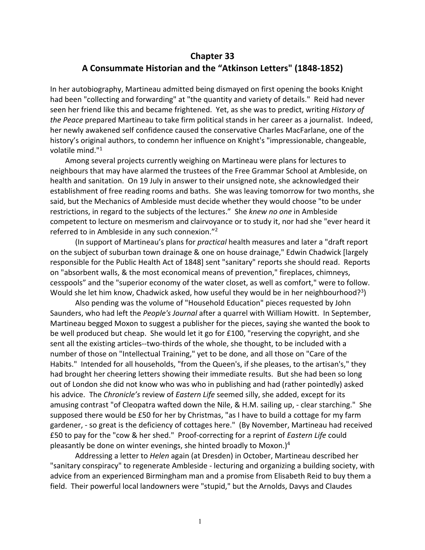## **Chapter 33 A Consummate Historian and the "Atkinson Letters" (1848-1852)**

In her autobiography, Martineau admitted being dismayed on first opening the books Knight had been "collecting and forwarding" at "the quantity and variety of details." Reid had never seen her friend like this and became frightened. Yet, as she was to predict, writing *History of the Peace* prepared Martineau to take firm political stands in her career as a journalist. Indeed, her newly awakened self confidence caused the conservative Charles MacFarlane, one of the history's original authors, to condemn her influence on Knight's "impressionable, changeable, volatile mind."1

 Among several projects currently weighing on Martineau were plans for lectures to neighbours that may have alarmed the trustees of the Free Grammar School at Ambleside, on health and sanitation. On 19 July in answer to their unsigned note, she acknowledged their establishment of free reading rooms and baths. She was leaving tomorrow for two months, she said, but the Mechanics of Ambleside must decide whether they would choose "to be under restrictions, in regard to the subjects of the lectures." She *knew no one* in Ambleside competent to lecture on mesmerism and clairvoyance or to study it, nor had she "ever heard it referred to in Ambleside in any such connexion."2

(In support of Martineau's plans for *practical* health measures and later a "draft report on the subject of suburban town drainage & one on house drainage," Edwin Chadwick [largely responsible for the Public Health Act of 1848] sent "sanitary" reports she should read. Reports on "absorbent walls, & the most economical means of prevention," fireplaces, chimneys, cesspools" and the "superior economy of the water closet, as well as comfort," were to follow. Would she let him know, Chadwick asked, how useful they would be in her neighbourhood?<sup>3</sup>)

Also pending was the volume of "Household Education" pieces requested by John Saunders, who had left the *People's Journal* after a quarrel with William Howitt. In September, Martineau begged Moxon to suggest a publisher for the pieces, saying she wanted the book to be well produced but cheap. She would let it go for £100, "reserving the copyright, and she sent all the existing articles--two-thirds of the whole, she thought, to be included with a number of those on "Intellectual Training," yet to be done, and all those on "Care of the Habits." Intended for all households, "from the Queen's, if she pleases, to the artisan's," they had brought her cheering letters showing their immediate results. But she had been so long out of London she did not know who was who in publishing and had (rather pointedly) asked his advice. The *Chronicle's* review of *Eastern Life* seemed silly, she added, except for its amusing contrast "of Cleopatra wafted down the Nile, & H.M. sailing up, - clear starching." She supposed there would be £50 for her by Christmas, "as I have to build a cottage for my farm gardener, - so great is the deficiency of cottages here." (By November, Martineau had received £50 to pay for the "cow & her shed." Proof-correcting for a reprint of *Eastern Life* could pleasantly be done on winter evenings, she hinted broadly to Moxon.) $4$ 

Addressing a letter to *Helen* again (at Dresden) in October, Martineau described her "sanitary conspiracy" to regenerate Ambleside - lecturing and organizing a building society, with advice from an experienced Birmingham man and a promise from Elisabeth Reid to buy them a field. Their powerful local landowners were "stupid," but the Arnolds, Davys and Claudes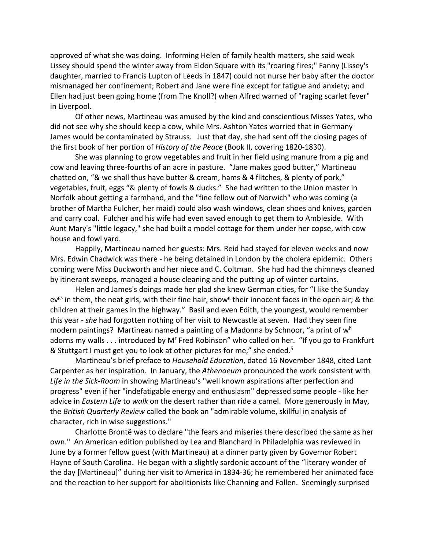approved of what she was doing. Informing Helen of family health matters, she said weak Lissey should spend the winter away from Eldon Square with its "roaring fires;" Fanny (Lissey's daughter, married to Francis Lupton of Leeds in 1847) could not nurse her baby after the doctor mismanaged her confinement; Robert and Jane were fine except for fatigue and anxiety; and Ellen had just been going home (from The Knoll?) when Alfred warned of "raging scarlet fever" in Liverpool.

Of other news, Martineau was amused by the kind and conscientious Misses Yates, who did not see why she should keep a cow, while Mrs. Ashton Yates worried that in Germany James would be contaminated by Strauss. Just that day, she had sent off the closing pages of the first book of her portion of *History of the Peace* (Book II, covering 1820-1830).

She was planning to grow vegetables and fruit in her field using manure from a pig and cow and leaving three-fourths of an acre in pasture. "Jane makes good butter," Martineau chatted on, "& we shall thus have butter & cream, hams & 4 flitches, & plenty of pork," vegetables, fruit, eggs "& plenty of fowls & ducks." She had written to the Union master in Norfolk about getting a farmhand, and the "fine fellow out of Norwich" who was coming (a brother of Martha Fulcher, her maid) could also wash windows, clean shoes and knives, garden and carry coal. Fulcher and his wife had even saved enough to get them to Ambleside. With Aunt Mary's "little legacy," she had built a model cottage for them under her copse, with cow house and fowl yard.

Happily, Martineau named her guests: Mrs. Reid had stayed for eleven weeks and now Mrs. Edwin Chadwick was there - he being detained in London by the cholera epidemic. Others coming were Miss Duckworth and her niece and C. Coltman. She had had the chimneys cleaned by itinerant sweeps, managed a house cleaning and the putting up of winter curtains.

 Helen and James's doings made her glad she knew German cities, for "I like the Sunday ev<sup>gs</sup> in them, the neat girls, with their fine hair, show<sup>g</sup> their innocent faces in the open air; & the children at their games in the highway." Basil and even Edith, the youngest, would remember this year - *she* had forgotten nothing of her visit to Newcastle at seven. Had they seen fine modern paintings? Martineau named a painting of a Madonna by Schnoor, "a print of w<sup>h</sup> adorns my walls . . . introduced by M' Fred Robinson" who called on her. "If you go to Frankfurt & Stuttgart I must get you to look at other pictures for me," she ended.<sup>5</sup>

Martineau's brief preface to *Household Education*, dated 16 November 1848, cited Lant Carpenter as her inspiration. In January, the *Athenaeum* pronounced the work consistent with *Life in the Sick-Room* in showing Martineau's "well known aspirations after perfection and progress" even if her "indefatigable energy and enthusiasm" depressed some people - like her advice in *Eastern Life* to *walk* on the desert rather than ride a camel. More generously in May, the *British Quarterly Review* called the book an "admirable volume, skillful in analysis of character, rich in wise suggestions."

Charlotte Brontë was to declare "the fears and miseries there described the same as her own." An American edition published by Lea and Blanchard in Philadelphia was reviewed in June by a former fellow guest (with Martineau) at a dinner party given by Governor Robert Hayne of South Carolina. He began with a slightly sardonic account of the "literary wonder of the day [Martineau]" during her visit to America in 1834-36; he remembered her animated face and the reaction to her support for abolitionists like Channing and Follen. Seemingly surprised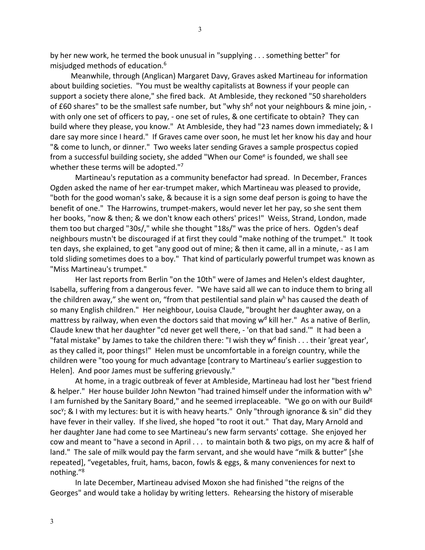by her new work, he termed the book unusual in "supplying . . . something better" for misjudged methods of education.6

 Meanwhile, through (Anglican) Margaret Davy, Graves asked Martineau for information about building societies. "You must be wealthy capitalists at Bowness if your people can support a society there alone," she fired back. At Ambleside, they reckoned "50 shareholders of £60 shares" to be the smallest safe number, but "why sh<sup>d</sup> not your neighbours & mine join, with only one set of officers to pay, - one set of rules, & one certificate to obtain? They can build where they please, you know." At Ambleside, they had "23 names down immediately; & I dare say more since I heard." If Graves came over soon, he must let her know his day and hour "& come to lunch, or dinner." Two weeks later sending Graves a sample prospectus copied from a successful building society, she added "When our Come<sup>e</sup> is founded, we shall see whether these terms will be adopted."7

 Martineau's reputation as a community benefactor had spread. In December, Frances Ogden asked the name of her ear-trumpet maker, which Martineau was pleased to provide, "both for the good woman's sake, & because it is a sign some deaf person is going to have the benefit of one." The Harrowins, trumpet-makers, would never let her pay, so she sent them her books, "now & then; & we don't know each others' prices!" Weiss, Strand, London, made them too but charged "30s/," while she thought "18s/" was the price of hers. Ogden's deaf neighbours mustn't be discouraged if at first they could "make nothing of the trumpet." It took ten days, she explained, to get "any good out of mine; & then it came, all in a minute, - as I am told sliding sometimes does to a boy." That kind of particularly powerful trumpet was known as "Miss Martineau's trumpet."

 Her last reports from Berlin "on the 10th" were of James and Helen's eldest daughter, Isabella, suffering from a dangerous fever. "We have said all we can to induce them to bring all the children away," she went on, "from that pestilential sand plain  $w<sup>h</sup>$  has caused the death of so many English children." Her neighbour, Louisa Claude, "brought her daughter away, on a mattress by railway, when even the doctors said that moving  $w<sup>d</sup>$  kill her." As a native of Berlin, Claude knew that her daughter "cd never get well there, - 'on that bad sand.'" It had been a "fatal mistake" by James to take the children there: "I wish they  $w<sup>d</sup>$  finish . . . their 'great year', as they called it, poor things!" Helen must be uncomfortable in a foreign country, while the children were "too young for much advantage [contrary to Martineau's earlier suggestion to Helen]. And poor James must be suffering grievously."

 At home, in a tragic outbreak of fever at Ambleside, Martineau had lost her "best friend & helper." Her house builder John Newton "had trained himself under the information with  $w<sup>h</sup>$ I am furnished by the Sanitary Board," and he seemed irreplaceable. "We go on with our Build<sup>g</sup> soc<sup>y</sup>; & I with my lectures: but it is with heavy hearts." Only "through ignorance & sin" did they have fever in their valley. If she lived, she hoped "to root it out." That day, Mary Arnold and her daughter Jane had come to see Martineau's new farm servants' cottage. She enjoyed her cow and meant to "have a second in April . . . to maintain both & two pigs, on my acre & half of land." The sale of milk would pay the farm servant, and she would have "milk & butter" [she repeated], "vegetables, fruit, hams, bacon, fowls & eggs, & many conveniences for next to nothing."8

In late December, Martineau advised Moxon she had finished "the reigns of the Georges" and would take a holiday by writing letters. Rehearsing the history of miserable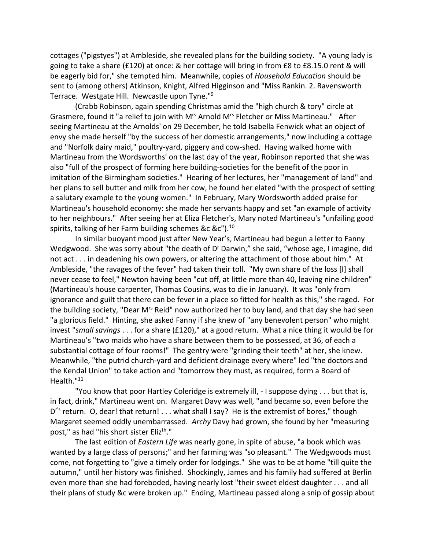cottages ("pigstyes") at Ambleside, she revealed plans for the building society. "A young lady is going to take a share (£120) at once: & her cottage will bring in from £8 to £8.15.0 rent & will be eagerly bid for," she tempted him. Meanwhile, copies of *Household Education* should be sent to (among others) Atkinson, Knight, Alfred Higginson and "Miss Rankin. 2. Ravensworth Terrace. Westgate Hill. Newcastle upon Tyne."9

(Crabb Robinson, again spending Christmas amid the "high church & tory" circle at Grasmere, found it "a relief to join with Mrs Arnold Mrs Fletcher or Miss Martineau." After seeing Martineau at the Arnolds' on 29 December, he told Isabella Fenwick what an object of envy she made herself "by the success of her domestic arrangements," now including a cottage and "Norfolk dairy maid," poultry-yard, piggery and cow-shed. Having walked home with Martineau from the Wordsworths' on the last day of the year, Robinson reported that she was also "full of the prospect of forming here building-societies for the benefit of the poor in imitation of the Birmingham societies." Hearing of her lectures, her "management of land" and her plans to sell butter and milk from her cow, he found her elated "with the prospect of setting a salutary example to the young women." In February, Mary Wordsworth added praise for Martineau's household economy: she made her servants happy and set "an example of activity to her neighbours." After seeing her at Eliza Fletcher's, Mary noted Martineau's "unfailing good spirits, talking of her Farm building schemes &c &c").<sup>10</sup>

In similar buoyant mood just after New Year's, Martineau had begun a letter to Fanny Wedgwood. She was sorry about "the death of D' Darwin," she said, "whose age, I imagine, did not act . . . in deadening his own powers, or altering the attachment of those about him." At Ambleside, "the ravages of the fever" had taken their toll. "My own share of the loss [I] shall never cease to feel," Newton having been "cut off, at little more than 40, leaving nine children" (Martineau's house carpenter, Thomas Cousins, was to die in January). It was "only from ignorance and guilt that there can be fever in a place so fitted for health as this," she raged. For the building society, "Dear M<sup>rs</sup> Reid" now authorized her to buy land, and that day she had seen "a glorious field." Hinting, she asked Fanny if she knew of "any benevolent person" who might invest "*small savings* . . . for a share (£120)," at a good return. What a nice thing it would be for Martineau's "two maids who have a share between them to be possessed, at 36, of each a substantial cottage of four rooms!" The gentry were "grinding their teeth" at her, she knew. Meanwhile, "the putrid church-yard and deficient drainage every where" led "the doctors and the Kendal Union" to take action and "tomorrow they must, as required, form a Board of Health."<sup>11</sup>

"You know that poor Hartley Coleridge is extremely ill, - I suppose dying . . . but that is, in fact, drink," Martineau went on. Margaret Davy was well, "and became so, even before the D<sup>r's</sup> return. O, dear! that return! . . . what shall I say? He is the extremist of bores," though Margaret seemed oddly unembarrassed. *Archy* Davy had grown, she found by her "measuring post," as had "his short sister Elizth."

The last edition of *Eastern Life* was nearly gone, in spite of abuse, "a book which was wanted by a large class of persons;" and her farming was "so pleasant." The Wedgwoods must come, not forgetting to "give a timely order for lodgings." She was to be at home "till quite the autumn," until her history was finished. Shockingly, James and his family had suffered at Berlin even more than she had foreboded, having nearly lost "their sweet eldest daughter . . . and all their plans of study &c were broken up." Ending, Martineau passed along a snip of gossip about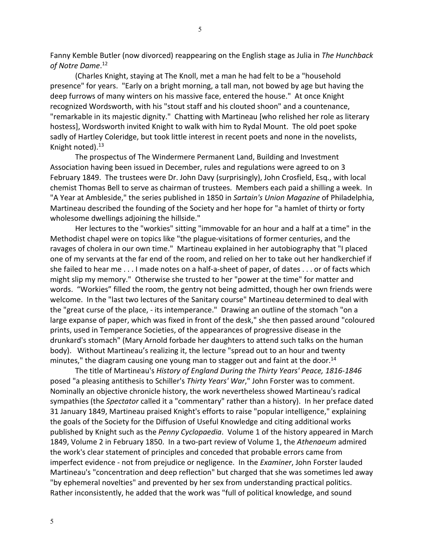Fanny Kemble Butler (now divorced) reappearing on the English stage as Julia in *The Hunchback of Notre Dame*. 12

(Charles Knight, staying at The Knoll, met a man he had felt to be a "household presence" for years. "Early on a bright morning, a tall man, not bowed by age but having the deep furrows of many winters on his massive face, entered the house." At once Knight recognized Wordsworth, with his "stout staff and his clouted shoon" and a countenance, "remarkable in its majestic dignity." Chatting with Martineau [who relished her role as literary hostess], Wordsworth invited Knight to walk with him to Rydal Mount. The old poet spoke sadly of Hartley Coleridge, but took little interest in recent poets and none in the novelists, Knight noted).13

The prospectus of The Windermere Permanent Land, Building and Investment Association having been issued in December, rules and regulations were agreed to on 3 February 1849. The trustees were Dr. John Davy (surprisingly), John Crosfield, Esq., with local chemist Thomas Bell to serve as chairman of trustees. Members each paid a shilling a week. In "A Year at Ambleside," the series published in 1850 in *Sartain's Union Magazine* of Philadelphia, Martineau described the founding of the Society and her hope for "a hamlet of thirty or forty wholesome dwellings adjoining the hillside."

Her lectures to the "workies" sitting "immovable for an hour and a half at a time" in the Methodist chapel were on topics like "the plague-visitations of former centuries, and the ravages of cholera in our own time." Martineau explained in her autobiography that "I placed one of my servants at the far end of the room, and relied on her to take out her handkerchief if she failed to hear me . . . I made notes on a half-a-sheet of paper, of dates . . . or of facts which might slip my memory." Otherwise she trusted to her "power at the time" for matter and words. "Workies" filled the room, the gentry not being admitted, though her own friends were welcome. In the "last two lectures of the Sanitary course" Martineau determined to deal with the "great curse of the place, - its intemperance." Drawing an outline of the stomach "on a large expanse of paper, which was fixed in front of the desk," she then passed around "coloured prints, used in Temperance Societies, of the appearances of progressive disease in the drunkard's stomach" (Mary Arnold forbade her daughters to attend such talks on the human body). Without Martineau's realizing it, the lecture "spread out to an hour and twenty minutes," the diagram causing one young man to stagger out and faint at the door.<sup>14</sup>

The title of Martineau's *History of England During the Thirty Years' Peace, 1816-1846* posed "a pleasing antithesis to Schiller's *Thirty Years' War*," John Forster was to comment. Nominally an objective chronicle history, the work nevertheless showed Martineau's radical sympathies (the *Spectator* called it a "commentary" rather than a history). In her preface dated 31 January 1849, Martineau praised Knight's efforts to raise "popular intelligence," explaining the goals of the Society for the Diffusion of Useful Knowledge and citing additional works published by Knight such as the *Penny Cyclopaedia*. Volume 1 of the history appeared in March 1849, Volume 2 in February 1850. In a two-part review of Volume 1, the *Athenaeum* admired the work's clear statement of principles and conceded that probable errors came from imperfect evidence - not from prejudice or negligence. In the *Examiner*, John Forster lauded Martineau's "concentration and deep reflection" but charged that she was sometimes led away "by ephemeral novelties" and prevented by her sex from understanding practical politics. Rather inconsistently, he added that the work was "full of political knowledge, and sound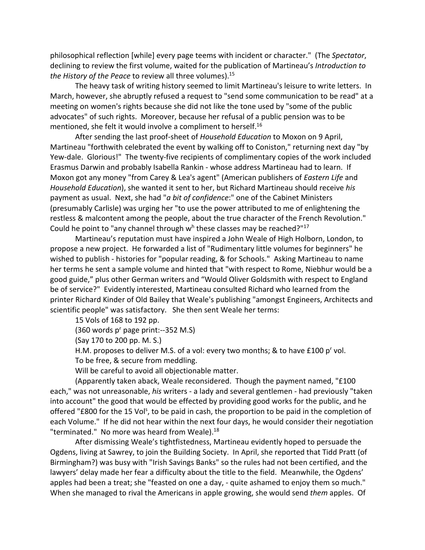philosophical reflection [while] every page teems with incident or character." (The *Spectator*, declining to review the first volume, waited for the publication of Martineau's *Introduction to the History of the Peace* to review all three volumes). 15

The heavy task of writing history seemed to limit Martineau's leisure to write letters. In March, however, she abruptly refused a request to "send some communication to be read" at a meeting on women's rights because she did not like the tone used by "some of the public advocates" of such rights. Moreover, because her refusal of a public pension was to be mentioned, she felt it would involve a compliment to herself.<sup>16</sup>

After sending the last proof-sheet of *Household Education* to Moxon on 9 April, Martineau "forthwith celebrated the event by walking off to Coniston," returning next day "by Yew-dale. Glorious!" The twenty-five recipients of complimentary copies of the work included Erasmus Darwin and probably Isabella Rankin - whose address Martineau had to learn. If Moxon got any money "from Carey & Lea's agent" (American publishers of *Eastern Life* and *Household Education*), she wanted it sent to her, but Richard Martineau should receive *his* payment as usual. Next, she had "*a bit of confidence*:" one of the Cabinet Ministers (presumably Carlisle) was urging her "to use the power attributed to me of enlightening the restless & malcontent among the people, about the true character of the French Revolution." Could he point to "any channel through  $w<sup>h</sup>$  these classes may be reached?"<sup>17</sup>

Martineau's reputation must have inspired a John Weale of High Holborn, London, to propose a new project. He forwarded a list of "Rudimentary little volumes for beginners" he wished to publish - histories for "popular reading, & for Schools." Asking Martineau to name her terms he sent a sample volume and hinted that "with respect to Rome, Niebhur would be a good guide," plus other German writers and "Would Oliver Goldsmith with respect to England be of service?" Evidently interested, Martineau consulted Richard who learned from the printer Richard Kinder of Old Bailey that Weale's publishing "amongst Engineers, Architects and scientific people" was satisfactory. She then sent Weale her terms:

15 Vols of 168 to 192 pp.

(360 words p<sup>r</sup> page print:--352 M.S)

(Say 170 to 200 pp. M. S.)

H.M. proposes to deliver M.S. of a vol: every two months; & to have  $£100 p<sup>r</sup>$  vol.

To be free, & secure from meddling.

Will be careful to avoid all objectionable matter.

(Apparently taken aback, Weale reconsidered. Though the payment named, "£100 each," was not unreasonable, *his* writers - a lady and several gentlemen - had previously "taken into account" the good that would be effected by providing good works for the public, and he offered "£800 for the 15 Vol<sup>s</sup>, to be paid in cash, the proportion to be paid in the completion of each Volume." If he did not hear within the next four days, he would consider their negotiation "terminated." No more was heard from Weale).<sup>18</sup>

After dismissing Weale's tightfistedness, Martineau evidently hoped to persuade the Ogdens, living at Sawrey, to join the Building Society. In April, she reported that Tidd Pratt (of Birmingham?) was busy with "Irish Savings Banks" so the rules had not been certified, and the lawyers' delay made her fear a difficulty about the title to the field. Meanwhile, the Ogdens' apples had been a treat; she "feasted on one a day, - quite ashamed to enjoy them so much." When she managed to rival the Americans in apple growing, she would send *them* apples. Of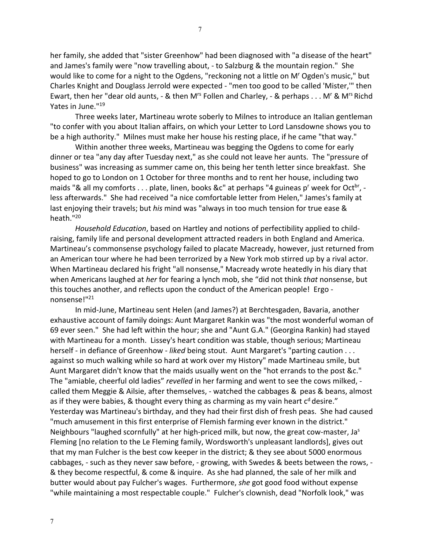her family, she added that "sister Greenhow" had been diagnosed with "a disease of the heart" and James's family were "now travelling about, - to Salzburg & the mountain region." She would like to come for a night to the Ogdens, "reckoning not a little on Mr Ogden's music," but Charles Knight and Douglass Jerrold were expected - "men too good to be called 'Mister,'" then Ewart, then her "dear old aunts, - & then M<sup>rs</sup> Follen and Charley, - & perhaps . . . M<sup>r</sup> & M<sup>rs</sup> Richd Yates in June."19

 Three weeks later, Martineau wrote soberly to Milnes to introduce an Italian gentleman "to confer with you about Italian affairs, on which your Letter to Lord Lansdowne shows you to be a high authority." Milnes must make her house his resting place, if he came "that way."

 Within another three weeks, Martineau was begging the Ogdens to come for early dinner or tea "any day after Tuesday next," as she could not leave her aunts. The "pressure of business" was increasing as summer came on, this being her tenth letter since breakfast. She hoped to go to London on 1 October for three months and to rent her house, including two maids "& all my comforts  $\dots$  plate, linen, books &c" at perhaps "4 guineas p' week for Oct<sup>br</sup>, less afterwards." She had received "a nice comfortable letter from Helen," James's family at last enjoying their travels; but *his* mind was "always in too much tension for true ease & heath."20

*Household Education*, based on Hartley and notions of perfectibility applied to childraising, family life and personal development attracted readers in both England and America. Martineau's commonsense psychology failed to placate Macready, however, just returned from an American tour where he had been terrorized by a New York mob stirred up by a rival actor. When Martineau declared his fright "all nonsense," Macready wrote heatedly in his diary that when Americans laughed at *her* for fearing a lynch mob, she "did not think *that* nonsense, but this touches another, and reflects upon the conduct of the American people! Ergo nonsense!"21

 In mid-June, Martineau sent Helen (and James?) at Berchtesgaden, Bavaria, another exhaustive account of family doings: Aunt Margaret Rankin was "the most wonderful woman of 69 ever seen." She had left within the hour; she and "Aunt G.A." (Georgina Rankin) had stayed with Martineau for a month. Lissey's heart condition was stable, though serious; Martineau herself - in defiance of Greenhow - *liked* being stout. Aunt Margaret's "parting caution . . . against so much walking while so hard at work over my History" made Martineau smile, but Aunt Margaret didn't know that the maids usually went on the "hot errands to the post &c." The "amiable, cheerful old ladies" *revelled* in her farming and went to see the cows milked, called them Meggie & Ailsie, after themselves, - watched the cabbages & peas & beans, almost as if they were babies, & thought every thing as charming as my vain heart  $c<sup>d</sup>$  desire." Yesterday was Martineau's birthday, and they had their first dish of fresh peas. She had caused "much amusement in this first enterprise of Flemish farming ever known in the district." Neighbours "laughed scornfully" at her high-priced milk, but now, the great cow-master, Ja<sup>s</sup> Fleming [no relation to the Le Fleming family, Wordsworth's unpleasant landlords], gives out that my man Fulcher is the best cow keeper in the district; & they see about 5000 enormous cabbages, - such as they never saw before, - growing, with Swedes & beets between the rows, - & they become respectful, & come & inquire. As she had planned, the sale of her milk and butter would about pay Fulcher's wages. Furthermore, *she* got good food without expense "while maintaining a most respectable couple." Fulcher's clownish, dead "Norfolk look," was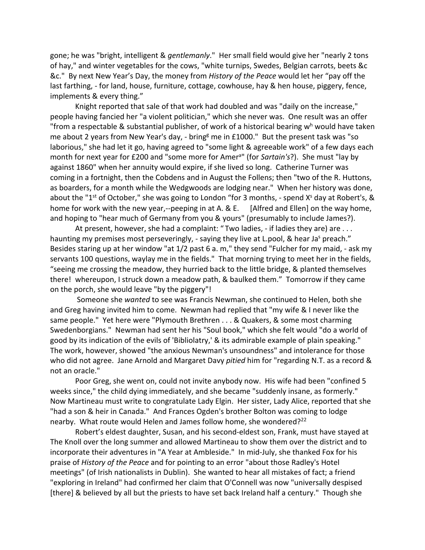gone; he was "bright, intelligent & *gentlemanly*." Her small field would give her "nearly 2 tons of hay," and winter vegetables for the cows, "white turnips, Swedes, Belgian carrots, beets &c &c." By next New Year's Day, the money from *History of the Peace* would let her "pay off the last farthing, - for land, house, furniture, cottage, cowhouse, hay & hen house, piggery, fence, implements & every thing."

Knight reported that sale of that work had doubled and was "daily on the increase," people having fancied her "a violent politician," which she never was. One result was an offer "from a respectable & substantial publisher, of work of a historical bearing  $w<sup>h</sup>$  would have taken me about 2 years from New Year's day, - bring<sup>g</sup> me in £1000." But the present task was "so laborious," she had let it go, having agreed to "some light & agreeable work" of a few days each month for next year for £200 and "some more for Amer<sup>a</sup>" (for *Sartain's*?). She must "lay by against 1860" when her annuity would expire, if she lived so long. Catherine Turner was coming in a fortnight, then the Cobdens and in August the Follens; then "two of the R. Huttons, as boarders, for a month while the Wedgwoods are lodging near." When her history was done, about the "1<sup>st</sup> of October," she was going to London "for 3 months, - spend X<sup>s</sup> day at Robert's, & home for work with the new year,--peeping in at A. & E. [Alfred and Ellen] on the way home, and hoping to "hear much of Germany from you & yours" (presumably to include James?).

At present, however, she had a complaint: "Two ladies, - if ladies they are) are . . . haunting my premises most perseveringly, - saying they live at L.pool, & hear Ja<sup>s</sup> preach." Besides staring up at her window "at 1/2 past 6 a. m," they send "Fulcher for my maid, - ask my servants 100 questions, waylay me in the fields." That morning trying to meet her in the fields, "seeing me crossing the meadow, they hurried back to the little bridge, & planted themselves there! whereupon, I struck down a meadow path, & baulked them." Tomorrow if they came on the porch, she would leave "by the piggery"!

Someone she *wanted* to see was Francis Newman, she continued to Helen, both she and Greg having invited him to come. Newman had replied that "my wife & I never like the same people." Yet here were "Plymouth Brethren . . . & Quakers, & some most charming Swedenborgians." Newman had sent her his "Soul book," which she felt would "do a world of good by its indication of the evils of 'Bibliolatry,' & its admirable example of plain speaking." The work, however, showed "the anxious Newman's unsoundness" and intolerance for those who did not agree. Jane Arnold and Margaret Davy *pitied* him for "regarding N.T. as a record & not an oracle."

Poor Greg, she went on, could not invite anybody now. His wife had been "confined 5 weeks since," the child dying immediately, and she became "suddenly insane, as formerly." Now Martineau must write to congratulate Lady Elgin. Her sister, Lady Alice, reported that she "had a son & heir in Canada." And Frances Ogden's brother Bolton was coming to lodge nearby. What route would Helen and James follow home, she wondered?<sup>22</sup>

Robert's eldest daughter, Susan, and his second-eldest son, Frank, must have stayed at The Knoll over the long summer and allowed Martineau to show them over the district and to incorporate their adventures in "A Year at Ambleside." In mid-July, she thanked Fox for his praise of *History of the Peace* and for pointing to an error "about those Radley's Hotel meetings" (of Irish nationalists in Dublin). She wanted to hear all mistakes of fact; a friend "exploring in Ireland" had confirmed her claim that O'Connell was now "universally despised [there] & believed by all but the priests to have set back Ireland half a century." Though she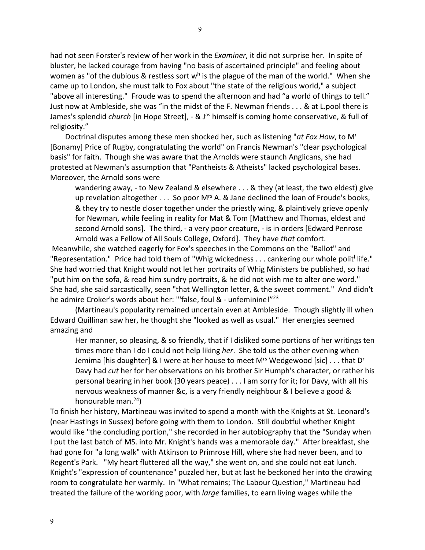had not seen Forster's review of her work in the *Examiner*, it did not surprise her. In spite of bluster, he lacked courage from having "no basis of ascertained principle" and feeling about women as "of the dubious & restless sort  $w<sup>h</sup>$  is the plague of the man of the world." When she came up to London, she must talk to Fox about "the state of the religious world," a subject "above all interesting." Froude was to spend the afternoon and had "a world of things to tell." Just now at Ambleside, she was "in the midst of the F. Newman friends . . . & at L.pool there is James's splendid *church* [in Hope Street], - & J<sup>as</sup> himself is coming home conservative, & full of religiosity."

 Doctrinal disputes among these men shocked her, such as listening "*at Fox How*, to Mr [Bonamy] Price of Rugby, congratulating the world" on Francis Newman's "clear psychological basis" for faith. Though she was aware that the Arnolds were staunch Anglicans, she had protested at Newman's assumption that "Pantheists & Atheists" lacked psychological bases. Moreover, the Arnold sons were

wandering away, - to New Zealand & elsewhere . . . & they (at least, the two eldest) give up revelation altogether  $\dots$  So poor M<sup>rs</sup> A. & Jane declined the loan of Froude's books, & they try to nestle closer together under the priestly wing, & plaintively grieve openly for Newman, while feeling in reality for Mat & Tom [Matthew and Thomas, eldest and second Arnold sons]. The third, - a very poor creature, - is in orders [Edward Penrose Arnold was a Fellow of All Souls College, Oxford]. They have *that* comfort.

Meanwhile, she watched eagerly for Fox's speeches in the Commons on the "Ballot" and "Representation." Price had told them of "Whig wickedness  $\dots$  cankering our whole polit life." She had worried that Knight would not let her portraits of Whig Ministers be published, so had "put him on the sofa, & read him sundry portraits, & he did not wish me to alter one word." She had, she said sarcastically, seen "that Wellington letter, & the sweet comment." And didn't he admire Croker's words about her: "'false, foul & - unfeminine!"<sup>23</sup>

(Martineau's popularity remained uncertain even at Ambleside. Though slightly ill when Edward Quillinan saw her, he thought she "looked as well as usual." Her energies seemed amazing and

Her manner, so pleasing, & so friendly, that if I disliked some portions of her writings ten times more than I do I could not help liking *her*. She told us the other evening when Jemima [his daughter] & I were at her house to meet M<sup>rs</sup> Wedgewood [sic]  $\dots$  that D<sup>r</sup> Davy had *cut* her for her observations on his brother Sir Humph's character, or rather his personal bearing in her book (30 years peace) . . . I am sorry for it; for Davy, with all his nervous weakness of manner &c, is a very friendly neighbour & I believe a good & honourable man.<sup>24</sup>)

To finish her history, Martineau was invited to spend a month with the Knights at St. Leonard's (near Hastings in Sussex) before going with them to London. Still doubtful whether Knight would like "the concluding portion," she recorded in her autobiography that the "Sunday when I put the last batch of MS. into Mr. Knight's hands was a memorable day." After breakfast, she had gone for "a long walk" with Atkinson to Primrose Hill, where she had never been, and to Regent's Park. "My heart fluttered all the way," she went on, and she could not eat lunch. Knight's "expression of countenance" puzzled her, but at last he beckoned her into the drawing room to congratulate her warmly. In "What remains; The Labour Question," Martineau had treated the failure of the working poor, with *large* families, to earn living wages while the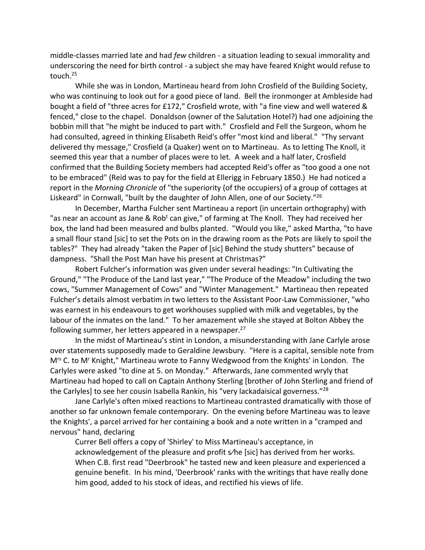middle-classes married late and had *few* children - a situation leading to sexual immorality and underscoring the need for birth control - a subject she may have feared Knight would refuse to touch. 25

While she was in London, Martineau heard from John Crosfield of the Building Society, who was continuing to look out for a good piece of land. Bell the ironmonger at Ambleside had bought a field of "three acres for £172," Crosfield wrote, with "a fine view and well watered & fenced," close to the chapel. Donaldson (owner of the Salutation Hotel?) had one adjoining the bobbin mill that "he might be induced to part with." Crosfield and Fell the Surgeon, whom he had consulted, agreed in thinking Elisabeth Reid's offer "most kind and liberal." "Thy servant delivered thy message," Crosfield (a Quaker) went on to Martineau. As to letting The Knoll, it seemed this year that a number of places were to let. A week and a half later, Crosfield confirmed that the Building Society members had accepted Reid's offer as "too good a one not to be embraced" (Reid was to pay for the field at Ellerigg in February 1850.) He had noticed a report in the *Morning Chronicle* of "the superiority (of the occupiers) of a group of cottages at Liskeard" in Cornwall, "built by the daughter of John Allen, one of our Society."<sup>26</sup>

In December, Martha Fulcher sent Martineau a report (in uncertain orthography) with "as near an account as Jane & Rob<sup>t</sup> can give," of farming at The Knoll. They had received her box, the land had been measured and bulbs planted. "Would you like," asked Martha, "to have a small flour stand [sic] to set the Pots on in the drawing room as the Pots are likely to spoil the tables?" They had already "taken the Paper of [sic] Behind the study shutters" because of dampness. "Shall the Post Man have his present at Christmas?"

Robert Fulcher's information was given under several headings: "In Cultivating the Ground," "The Produce of the Land last year," "The Produce of the Meadow" including the two cows, "Summer Management of Cows" and "Winter Management." Martineau then repeated Fulcher's details almost verbatim in two letters to the Assistant Poor-Law Commissioner, "who was earnest in his endeavours to get workhouses supplied with milk and vegetables, by the labour of the inmates on the land." To her amazement while she stayed at Bolton Abbey the following summer, her letters appeared in a newspaper.<sup>27</sup>

In the midst of Martineau's stint in London, a misunderstanding with Jane Carlyle arose over statements supposedly made to Geraldine Jewsbury. "Here is a capital, sensible note from M<sup>rs</sup> C. to M<sup>r</sup> Knight," Martineau wrote to Fanny Wedgwood from the Knights' in London. The Carlyles were asked "to dine at 5. on Monday." Afterwards, Jane commented wryly that Martineau had hoped to call on Captain Anthony Sterling [brother of John Sterling and friend of the Carlyles] to see her cousin Isabella Rankin, his "very lackadaisical governess."<sup>28</sup>

Jane Carlyle's often mixed reactions to Martineau contrasted dramatically with those of another so far unknown female contemporary. On the evening before Martineau was to leave the Knights', a parcel arrived for her containing a book and a note written in a "cramped and nervous" hand, declaring

Currer Bell offers a copy of 'Shirley' to Miss Martineau's acceptance, in acknowledgement of the pleasure and profit s⁄he [sic] has derived from her works. When C.B. first read "Deerbrook" he tasted new and keen pleasure and experienced a genuine benefit. In his mind, 'Deerbrook' ranks with the writings that have really done him good, added to his stock of ideas, and rectified his views of life.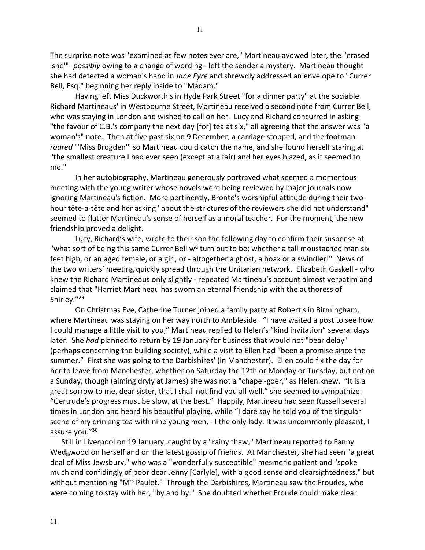The surprise note was "examined as few notes ever are," Martineau avowed later, the "erased 'she'"- *possibly* owing to a change of wording - left the sender a mystery. Martineau thought she had detected a woman's hand in *Jane Eyre* and shrewdly addressed an envelope to "Currer Bell, Esq." beginning her reply inside to "Madam."

Having left Miss Duckworth's in Hyde Park Street "for a dinner party" at the sociable Richard Martineaus' in Westbourne Street, Martineau received a second note from Currer Bell, who was staying in London and wished to call on her. Lucy and Richard concurred in asking "the favour of C.B.'s company the next day [for] tea at six," all agreeing that the answer was "a woman's" note. Then at five past six on 9 December, a carriage stopped, and the footman *roared* "'Miss Brogden'" so Martineau could catch the name, and she found herself staring at "the smallest creature I had ever seen (except at a fair) and her eyes blazed, as it seemed to me."

In her autobiography, Martineau generously portrayed what seemed a momentous meeting with the young writer whose novels were being reviewed by major journals now ignoring Martineau's fiction. More pertinently, Brontë's worshipful attitude during their twohour tête-a-tête and her asking "about the strictures of the reviewers she did not understand" seemed to flatter Martineau's sense of herself as a moral teacher. For the moment, the new friendship proved a delight.

Lucy, Richard's wife, wrote to their son the following day to confirm their suspense at "what sort of being this same Currer Bell  $w<sup>d</sup>$  turn out to be; whether a tall moustached man six feet high, or an aged female, or a girl, or - altogether a ghost, a hoax or a swindler!" News of the two writers' meeting quickly spread through the Unitarian network. Elizabeth Gaskell - who knew the Richard Martineaus only slightly - repeated Martineau's account almost verbatim and claimed that "Harriet Martineau has sworn an eternal friendship with the authoress of Shirley."<sup>29</sup>

On Christmas Eve, Catherine Turner joined a family party at Robert's in Birmingham, where Martineau was staying on her way north to Ambleside. "I have waited a post to see how I could manage a little visit to you," Martineau replied to Helen's "kind invitation" several days later. She *had* planned to return by 19 January for business that would not "bear delay" (perhaps concerning the building society), while a visit to Ellen had "been a promise since the summer." First she was going to the Darbishires' (in Manchester). Ellen could fix the day for her to leave from Manchester, whether on Saturday the 12th or Monday or Tuesday, but not on a Sunday, though (aiming dryly at James) she was not a "chapel-goer," as Helen knew. "It is a great sorrow to me, dear sister, that I shall not find you all well," she seemed to sympathize: "Gertrude's progress must be slow, at the best." Happily, Martineau had seen Russell several times in London and heard his beautiful playing, while "I dare say he told you of the singular scene of my drinking tea with nine young men, - I the only lady. It was uncommonly pleasant, I assure you."30

 Still in Liverpool on 19 January, caught by a "rainy thaw," Martineau reported to Fanny Wedgwood on herself and on the latest gossip of friends. At Manchester, she had seen "a great deal of Miss Jewsbury," who was a "wonderfully susceptible" mesmeric patient and "spoke much and confidingly of poor dear Jenny [Carlyle], with a good sense and clearsightedness," but without mentioning "M<sup>rs</sup> Paulet." Through the Darbishires, Martineau saw the Froudes, who were coming to stay with her, "by and by." She doubted whether Froude could make clear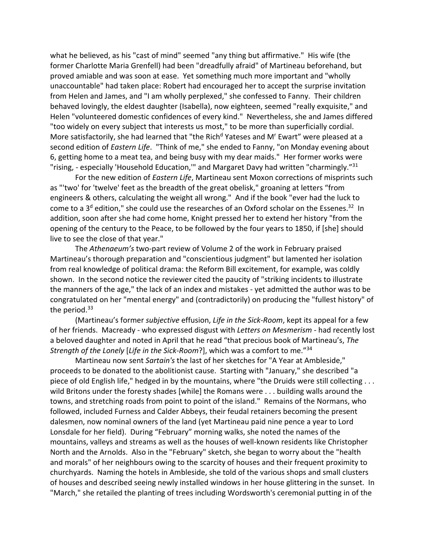what he believed, as his "cast of mind" seemed "any thing but affirmative." His wife (the former Charlotte Maria Grenfell) had been "dreadfully afraid" of Martineau beforehand, but proved amiable and was soon at ease. Yet something much more important and "wholly unaccountable" had taken place: Robert had encouraged her to accept the surprise invitation from Helen and James, and "I am wholly perplexed," she confessed to Fanny. Their children behaved lovingly, the eldest daughter (Isabella), now eighteen, seemed "really exquisite," and Helen "volunteered domestic confidences of every kind." Nevertheless, she and James differed "too widely on every subject that interests us most," to be more than superficially cordial. More satisfactorily, she had learned that "the Rich<sup>d</sup> Yateses and M' Ewart" were pleased at a second edition of *Eastern Life*. "Think of me," she ended to Fanny, "on Monday evening about 6, getting home to a meat tea, and being busy with my dear maids." Her former works were "rising, - especially 'Household Education," and Margaret Davy had written "charmingly."<sup>31</sup>

For the new edition of *Eastern Life*, Martineau sent Moxon corrections of misprints such as "'two' for 'twelve' feet as the breadth of the great obelisk," groaning at letters "from engineers & others, calculating the weight all wrong." And if the book "ever had the luck to come to a  $3<sup>d</sup>$  edition," she could use the researches of an Oxford scholar on the Essenes.<sup>32</sup> In addition, soon after she had come home, Knight pressed her to extend her history "from the opening of the century to the Peace, to be followed by the four years to 1850, if [she] should live to see the close of that year."

The *Athenaeum's* two-part review of Volume 2 of the work in February praised Martineau's thorough preparation and "conscientious judgment" but lamented her isolation from real knowledge of political drama: the Reform Bill excitement, for example, was coldly shown. In the second notice the reviewer cited the paucity of "striking incidents to illustrate the manners of the age," the lack of an index and mistakes - yet admitted the author was to be congratulated on her "mental energy" and (contradictorily) on producing the "fullest history" of the period.<sup>33</sup>

(Martineau's former *subjective* effusion, *Life in the Sick-Room*, kept its appeal for a few of her friends. Macready - who expressed disgust with *Letters on Mesmerism* - had recently lost a beloved daughter and noted in April that he read "that precious book of Martineau's, *The Strength of the Lonely* [*Life in the Sick-Room*?], which was a comfort to me."34

Martineau now sent *Sartain's* the last of her sketches for "A Year at Ambleside," proceeds to be donated to the abolitionist cause. Starting with "January," she described "a piece of old English life," hedged in by the mountains, where "the Druids were still collecting . . . wild Britons under the foresty shades [while] the Romans were . . . building walls around the towns, and stretching roads from point to point of the island." Remains of the Normans, who followed, included Furness and Calder Abbeys, their feudal retainers becoming the present dalesmen, now nominal owners of the land (yet Martineau paid nine pence a year to Lord Lonsdale for her field). During "February" morning walks, she noted the names of the mountains, valleys and streams as well as the houses of well-known residents like Christopher North and the Arnolds. Also in the "February" sketch, she began to worry about the "health and morals" of her neighbours owing to the scarcity of houses and their frequent proximity to churchyards. Naming the hotels in Ambleside, she told of the various shops and small clusters of houses and described seeing newly installed windows in her house glittering in the sunset. In "March," she retailed the planting of trees including Wordsworth's ceremonial putting in of the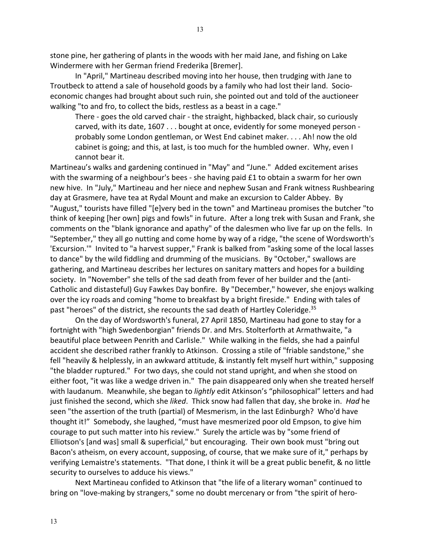13

stone pine, her gathering of plants in the woods with her maid Jane, and fishing on Lake Windermere with her German friend Frederika [Bremer].

In "April," Martineau described moving into her house, then trudging with Jane to Troutbeck to attend a sale of household goods by a family who had lost their land. Socioeconomic changes had brought about such ruin, she pointed out and told of the auctioneer walking "to and fro, to collect the bids, restless as a beast in a cage."

There - goes the old carved chair - the straight, highbacked, black chair, so curiously carved, with its date, 1607 . . . bought at once, evidently for some moneyed person probably some London gentleman, or West End cabinet maker. . . . Ah! now the old cabinet is going; and this, at last, is too much for the humbled owner. Why, even I cannot bear it.

Martineau's walks and gardening continued in "May" and "June." Added excitement arises with the swarming of a neighbour's bees - she having paid £1 to obtain a swarm for her own new hive. In "July," Martineau and her niece and nephew Susan and Frank witness Rushbearing day at Grasmere, have tea at Rydal Mount and make an excursion to Calder Abbey. By "August," tourists have filled "[e]very bed in the town" and Martineau promises the butcher "to think of keeping [her own] pigs and fowls" in future. After a long trek with Susan and Frank, she comments on the "blank ignorance and apathy" of the dalesmen who live far up on the fells. In "September," they all go nutting and come home by way of a ridge, "the scene of Wordsworth's 'Excursion.'" Invited to "a harvest supper," Frank is balked from "asking some of the local lasses to dance" by the wild fiddling and drumming of the musicians. By "October," swallows are gathering, and Martineau describes her lectures on sanitary matters and hopes for a building society. In "November" she tells of the sad death from fever of her builder and the (anti-Catholic and distasteful) Guy Fawkes Day bonfire. By "December," however, she enjoys walking over the icy roads and coming "home to breakfast by a bright fireside." Ending with tales of past "heroes" of the district, she recounts the sad death of Hartley Coleridge.<sup>35</sup>

On the day of Wordsworth's funeral, 27 April 1850, Martineau had gone to stay for a fortnight with "high Swedenborgian" friends Dr. and Mrs. Stolterforth at Armathwaite, "a beautiful place between Penrith and Carlisle." While walking in the fields, she had a painful accident she described rather frankly to Atkinson. Crossing a stile of "friable sandstone," she fell "heavily & helplessly, in an awkward attitude, & instantly felt myself hurt within," supposing "the bladder ruptured." For two days, she could not stand upright, and when she stood on either foot, "it was like a wedge driven in." The pain disappeared only when she treated herself with laudanum. Meanwhile, she began to *lightly* edit Atkinson's "philosophical" letters and had just finished the second, which she *liked*. Thick snow had fallen that day, she broke in. *Had* he seen "the assertion of the truth (partial) of Mesmerism, in the last Edinburgh? Who'd have thought it!" Somebody, she laughed, "must have mesmerized poor old Empson, to give him courage to put such matter into his review." Surely the article was by "some friend of Elliotson's [and was] small & superficial," but encouraging. Their own book must "bring out Bacon's atheism, on every account, supposing, of course, that we make sure of it," perhaps by verifying Lemaistre's statements. "That done, I think it will be a great public benefit, & no little security to ourselves to adduce his views."

Next Martineau confided to Atkinson that "the life of a literary woman" continued to bring on "love-making by strangers," some no doubt mercenary or from "the spirit of hero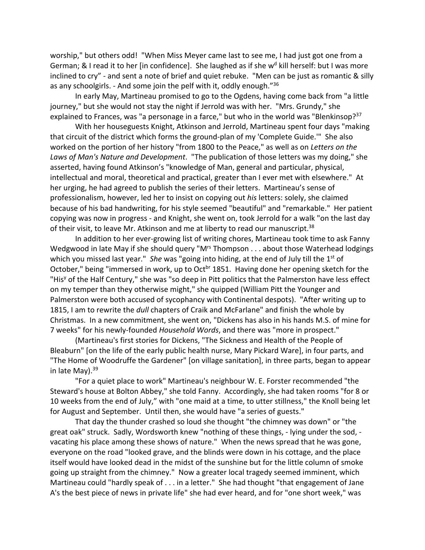worship," but others odd! "When Miss Meyer came last to see me, I had just got one from a German; & I read it to her [in confidence]. She laughed as if she  $w<sup>d</sup>$  kill herself: but I was more inclined to cry" - and sent a note of brief and quiet rebuke. "Men can be just as romantic & silly as any schoolgirls. - And some join the pelf with it, oddly enough."36

In early May, Martineau promised to go to the Ogdens, having come back from "a little journey," but she would not stay the night if Jerrold was with her. "Mrs. Grundy," she explained to Frances, was "a personage in a farce," but who in the world was "Blenkinsop?<sup>37</sup>

With her houseguests Knight, Atkinson and Jerrold, Martineau spent four days "making that circuit of the district which forms the ground-plan of my 'Complete Guide.'" She also worked on the portion of her history "from 1800 to the Peace," as well as on *Letters on the Laws of Man's Nature and Development*. "The publication of those letters was my doing," she asserted, having found Atkinson's "knowledge of Man, general and particular, physical, intellectual and moral, theoretical and practical, greater than I ever met with elsewhere." At her urging, he had agreed to publish the series of their letters. Martineau's sense of professionalism, however, led her to insist on copying out *his* letters: solely, she claimed because of his bad handwriting, for his style seemed "beautiful" and "remarkable." Her patient copying was now in progress - and Knight, she went on, took Jerrold for a walk "on the last day of their visit, to leave Mr. Atkinson and me at liberty to read our manuscript.<sup>38</sup>

In addition to her ever-growing list of writing chores, Martineau took time to ask Fanny Wedgwood in late May if she should query "M<sup>rs</sup> Thompson . . . about those Waterhead lodgings which you missed last year." *She* was "going into hiding, at the end of July till the 1<sup>st</sup> of October," being "immersed in work, up to Oct<sup>br</sup> 1851. Having done her opening sketch for the "His<sup>y</sup> of the Half Century," she was "so deep in Pitt politics that the Palmerston have less effect on my temper than they otherwise might," she quipped (William Pitt the Younger and Palmerston were both accused of sycophancy with Continental despots). "After writing up to 1815, I am to rewrite the *dull* chapters of Craik and McFarlane" and finish the whole by Christmas. In a new commitment, she went on, "Dickens has also in his hands M.S. of mine for 7 weeks" for his newly-founded *Household Words*, and there was "more in prospect."

(Martineau's first stories for Dickens, "The Sickness and Health of the People of Bleaburn" [on the life of the early public health nurse, Mary Pickard Ware], in four parts, and "The Home of Woodruffe the Gardener" [on village sanitation], in three parts, began to appear in late May). 39

"For a quiet place to work" Martineau's neighbour W. E. Forster recommended "the Steward's house at Bolton Abbey," she told Fanny. Accordingly, she had taken rooms "for 8 or 10 weeks from the end of July," with "one maid at a time, to utter stillness," the Knoll being let for August and September. Until then, she would have "a series of guests."

That day the thunder crashed so loud she thought "the chimney was down" or "the great oak" struck. Sadly, Wordsworth knew "nothing of these things, - lying under the sod, vacating his place among these shows of nature." When the news spread that he was gone, everyone on the road "looked grave, and the blinds were down in his cottage, and the place itself would have looked dead in the midst of the sunshine but for the little column of smoke going up straight from the chimney." Now a greater local tragedy seemed imminent, which Martineau could "hardly speak of . . . in a letter." She had thought "that engagement of Jane A's the best piece of news in private life" she had ever heard, and for "one short week," was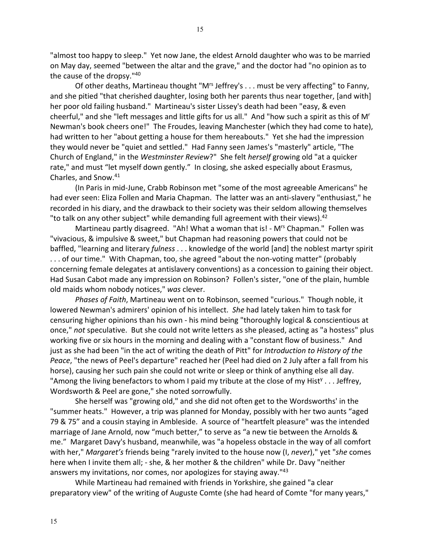"almost too happy to sleep." Yet now Jane, the eldest Arnold daughter who was to be married on May day, seemed "between the altar and the grave," and the doctor had "no opinion as to the cause of the dropsy."40

Of other deaths, Martineau thought "M<sup>rs</sup> Jeffrey's . . . must be very affecting" to Fanny, and she pitied "that cherished daughter, losing both her parents thus near together, [and with] her poor old failing husband." Martineau's sister Lissey's death had been "easy, & even cheerful," and she "left messages and little gifts for us all." And "how such a spirit as this of Mr Newman's book cheers one!" The Froudes, leaving Manchester (which they had come to hate), had written to her "about getting a house for them hereabouts." Yet she had the impression they would never be "quiet and settled." Had Fanny seen James's "masterly" article, "The Church of England," in the *Westminster Review*?" She felt *herself* growing old "at a quicker rate," and must "let myself down gently." In closing, she asked especially about Erasmus, Charles, and Snow.41

(In Paris in mid-June, Crabb Robinson met "some of the most agreeable Americans" he had ever seen: Eliza Follen and Maria Chapman. The latter was an anti-slavery "enthusiast," he recorded in his diary, and the drawback to their society was their seldom allowing themselves "to talk on any other subject" while demanding full agreement with their views).<sup>42</sup>

Martineau partly disagreed. "Ah! What a woman that is! - M<sup>rs</sup> Chapman." Follen was "vivacious, & impulsive & sweet," but Chapman had reasoning powers that could not be baffled, "learning and literary *fulness* . . . knowledge of the world [and] the noblest martyr spirit . . . of our time." With Chapman, too, she agreed "about the non-voting matter" (probably concerning female delegates at antislavery conventions) as a concession to gaining their object. Had Susan Cabot made any impression on Robinson? Follen's sister, "one of the plain, humble old maids whom nobody notices," *was* clever.

*Phases of Faith*, Martineau went on to Robinson, seemed "curious." Though noble, it lowered Newman's admirers' opinion of his intellect. *She* had lately taken him to task for censuring higher opinions than his own - his mind being "thoroughly logical & conscientious at once," *not* speculative. But she could not write letters as she pleased, acting as "a hostess" plus working five or six hours in the morning and dealing with a "constant flow of business." And just as she had been "in the act of writing the death of Pitt" for *Introduction to History of the Peace*, "the news of Peel's departure" reached her (Peel had died on 2 July after a fall from his horse), causing her such pain she could not write or sleep or think of anything else all day. "Among the living benefactors to whom I paid my tribute at the close of my Hist<sup>y</sup> . . . Jeffrey, Wordsworth & Peel are gone," she noted sorrowfully.

She herself was "growing old," and she did not often get to the Wordsworths' in the "summer heats." However, a trip was planned for Monday, possibly with her two aunts "aged 79 & 75" and a cousin staying in Ambleside. A source of "heartfelt pleasure" was the intended marriage of Jane Arnold, now "much better," to serve as "a new tie between the Arnolds & me." Margaret Davy's husband, meanwhile, was "a hopeless obstacle in the way of all comfort with her," *Margaret's* friends being "rarely invited to the house now (I, *never*)," yet "*she* comes here when I invite them all; - she, & her mother & the children" while Dr. Davy "neither answers my invitations, nor comes, nor apologizes for staying away."<sup>43</sup>

While Martineau had remained with friends in Yorkshire, she gained "a clear preparatory view" of the writing of Auguste Comte (she had heard of Comte "for many years,"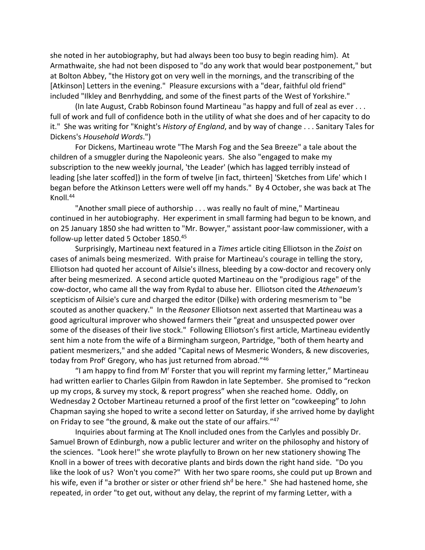she noted in her autobiography, but had always been too busy to begin reading him). At Armathwaite, she had not been disposed to "do any work that would bear postponement," but at Bolton Abbey, "the History got on very well in the mornings, and the transcribing of the [Atkinson] Letters in the evening." Pleasure excursions with a "dear, faithful old friend" included "Ilkley and Benrhydding, and some of the finest parts of the West of Yorkshire."

(In late August, Crabb Robinson found Martineau "as happy and full of zeal as ever . . . full of work and full of confidence both in the utility of what she does and of her capacity to do it." She was writing for "Knight's *History of England*, and by way of change . . . Sanitary Tales for Dickens's *Household Words*.")

For Dickens, Martineau wrote "The Marsh Fog and the Sea Breeze" a tale about the children of a smuggler during the Napoleonic years. She also "engaged to make my subscription to the new weekly journal, 'the Leader' (which has lagged terribly instead of leading [she later scoffed]) in the form of twelve [in fact, thirteen] 'Sketches from Life' which I began before the Atkinson Letters were well off my hands." By 4 October, she was back at The Knoll.44

"Another small piece of authorship . . . was really no fault of mine," Martineau continued in her autobiography. Her experiment in small farming had begun to be known, and on 25 January 1850 she had written to "Mr. Bowyer," assistant poor-law commissioner, with a follow-up letter dated 5 October 1850.45

Surprisingly, Martineau next featured in a *Times* article citing Elliotson in the *Zoist* on cases of animals being mesmerized. With praise for Martineau's courage in telling the story, Elliotson had quoted her account of Ailsie's illness, bleeding by a cow-doctor and recovery only after being mesmerized. A second article quoted Martineau on the "prodigious rage" of the cow-doctor, who came all the way from Rydal to abuse her. Elliotson cited the *Athenaeum's* scepticism of Ailsie's cure and charged the editor (Dilke) with ordering mesmerism to "be scouted as another quackery." In the *Reasoner* Elliotson next asserted that Martineau was a good agricultural improver who showed farmers their "great and unsuspected power over some of the diseases of their live stock." Following Elliotson's first article, Martineau evidently sent him a note from the wife of a Birmingham surgeon, Partridge, "both of them hearty and patient mesmerizers," and she added "Capital news of Mesmeric Wonders, & new discoveries, today from Prof<sup>r</sup> Gregory, who has just returned from abroad."46

"I am happy to find from Mr Forster that you will reprint my farming letter," Martineau had written earlier to Charles Gilpin from Rawdon in late September. She promised to "reckon up my crops, & survey my stock, & report progress" when she reached home. Oddly, on Wednesday 2 October Martineau returned a proof of the first letter on "cowkeeping" to John Chapman saying she hoped to write a second letter on Saturday, if she arrived home by daylight on Friday to see "the ground, & make out the state of our affairs."47

Inquiries about farming at The Knoll included ones from the Carlyles and possibly Dr. Samuel Brown of Edinburgh, now a public lecturer and writer on the philosophy and history of the sciences. "Look here!" she wrote playfully to Brown on her new stationery showing The Knoll in a bower of trees with decorative plants and birds down the right hand side. "Do you like the look of us? Won't you come?" With her two spare rooms, she could put up Brown and his wife, even if "a brother or sister or other friend sh<sup>d</sup> be here." She had hastened home, she repeated, in order "to get out, without any delay, the reprint of my farming Letter, with a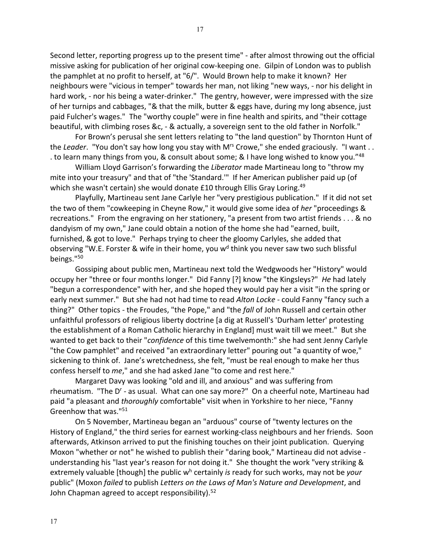Second letter, reporting progress up to the present time" - after almost throwing out the official missive asking for publication of her original cow-keeping one. Gilpin of London was to publish the pamphlet at no profit to herself, at "6/". Would Brown help to make it known? Her neighbours were "vicious in temper" towards her man, not liking "new ways, - nor his delight in hard work, - nor his being a water-drinker." The gentry, however, were impressed with the size of her turnips and cabbages, "& that the milk, butter & eggs have, during my long absence, just paid Fulcher's wages." The "worthy couple" were in fine health and spirits, and "their cottage beautiful, with climbing roses &c, - & actually, a sovereign sent to the old father in Norfolk."

For Brown's perusal she sent letters relating to "the land question" by Thornton Hunt of the *Leader*. "You don't say how long you stay with M<sup>rs</sup> Crowe," she ended graciously. "I want . . . to learn many things from you, & consult about some; & I have long wished to know you."<sup>48</sup>

William Lloyd Garrison's forwarding the *Liberator* made Martineau long to "throw my mite into your treasury" and that of "the 'Standard.'" If her American publisher paid up (of which she wasn't certain) she would donate £10 through Ellis Gray Loring.<sup>49</sup>

Playfully, Martineau sent Jane Carlyle her "very prestigious publication." If it did not set the two of them "cowkeeping in Cheyne Row," it would give some idea of *her* "proceedings & recreations." From the engraving on her stationery, "a present from two artist friends . . . & no dandyism of my own," Jane could obtain a notion of the home she had "earned, built, furnished, & got to love." Perhaps trying to cheer the gloomy Carlyles, she added that observing "W.E. Forster & wife in their home, you w<sup>d</sup> think you never saw two such blissful beings."50

Gossiping about public men, Martineau next told the Wedgwoods her "History" would occupy her "three or four months longer." Did Fanny [?] know "the Kingsleys?" *He* had lately "begun a correspondence" with her, and she hoped they would pay her a visit "in the spring or early next summer." But she had not had time to read *Alton Locke* - could Fanny "fancy such a thing?" Other topics - the Froudes, "the Pope," and "the *fall* of John Russell and certain other unfaithful professors of religious liberty doctrine [a dig at Russell's 'Durham letter' protesting the establishment of a Roman Catholic hierarchy in England] must wait till we meet." But she wanted to get back to their "*confidence* of this time twelvemonth:" she had sent Jenny Carlyle "the Cow pamphlet" and received "an extraordinary letter" pouring out "a quantity of woe," sickening to think of. Jane's wretchedness, she felt, "must be real enough to make her thus confess herself to *me*," and she had asked Jane "to come and rest here."

Margaret Davy was looking "old and ill, and anxious" and was suffering from rheumatism. "The D' - as usual. What can one say more?" On a cheerful note, Martineau had paid "a pleasant and *thoroughly* comfortable" visit when in Yorkshire to her niece, "Fanny Greenhow that was."51

On 5 November, Martineau began an "arduous" course of "twenty lectures on the History of England," the third series for earnest working-class neighbours and her friends. Soon afterwards, Atkinson arrived to put the finishing touches on their joint publication. Querying Moxon "whether or not" he wished to publish their "daring book," Martineau did not advise understanding his "last year's reason for not doing it." She thought the work "very striking & extremely valuable [though] the public wh certainly *is* ready for such works, may not be *your* public" (Moxon *failed* to publish *Letters on the Laws of Man's Nature and Development*, and John Chapman agreed to accept responsibility).<sup>52</sup>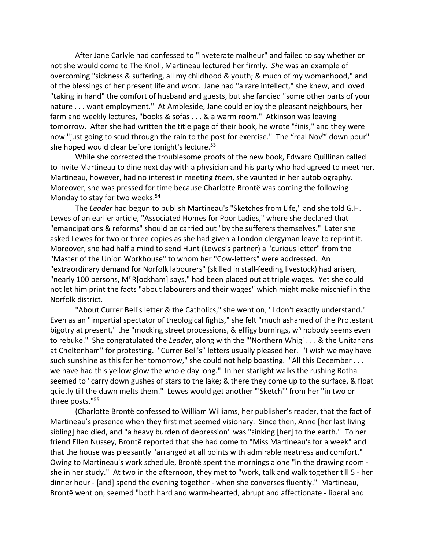After Jane Carlyle had confessed to "inveterate malheur" and failed to say whether or not she would come to The Knoll, Martineau lectured her firmly. *She* was an example of overcoming "sickness & suffering, all my childhood & youth; & much of my womanhood," and of the blessings of her present life and *work*. Jane had "a rare intellect," she knew, and loved "taking in hand" the comfort of husband and guests, but she fancied "some other parts of your nature . . . want employment." At Ambleside, Jane could enjoy the pleasant neighbours, her farm and weekly lectures, "books & sofas . . . & a warm room." Atkinson was leaving tomorrow. After she had written the title page of their book, he wrote "finis," and they were now "just going to scud through the rain to the post for exercise." The "real Nov<sup>br</sup> down pour" she hoped would clear before tonight's lecture.<sup>53</sup>

While she corrected the troublesome proofs of the new book, Edward Quillinan called to invite Martineau to dine next day with a physician and his party who had agreed to meet her. Martineau, however, had no interest in meeting *them*, she vaunted in her autobiography. Moreover, she was pressed for time because Charlotte Brontë was coming the following Monday to stay for two weeks.<sup>54</sup>

The *Leader* had begun to publish Martineau's "Sketches from Life," and she told G.H. Lewes of an earlier article, "Associated Homes for Poor Ladies," where she declared that "emancipations & reforms" should be carried out "by the sufferers themselves." Later she asked Lewes for two or three copies as she had given a London clergyman leave to reprint it. Moreover, she had half a mind to send Hunt (Lewes's partner) a "curious letter" from the "Master of the Union Workhouse" to whom her "Cow-letters" were addressed. An "extraordinary demand for Norfolk labourers" (skilled in stall-feeding livestock) had arisen, "nearly 100 persons, M'R[ockham] says," had been placed out at triple wages. Yet she could not let him print the facts "about labourers and their wages" which might make mischief in the Norfolk district.

"About Currer Bell's letter & the Catholics," she went on, "I don't exactly understand." Even as an "impartial spectator of theological fights," she felt "much ashamed of the Protestant bigotry at present," the "mocking street processions, & effigy burnings,  $w<sup>h</sup>$  nobody seems even to rebuke." She congratulated the *Leader*, along with the "'Northern Whig' . . . & the Unitarians at Cheltenham" for protesting. "Currer Bell's" letters usually pleased her. "I wish we may have such sunshine as this for her tomorrow," she could not help boasting. "All this December . . . we have had this yellow glow the whole day long." In her starlight walks the rushing Rotha seemed to "carry down gushes of stars to the lake; & there they come up to the surface, & float quietly till the dawn melts them." Lewes would get another "'Sketch'" from her "in two or three posts."55

(Charlotte Brontë confessed to William Williams, her publisher's reader, that the fact of Martineau's presence when they first met seemed visionary. Since then, Anne [her last living sibling] had died, and "a heavy burden of depression" was "sinking [her] to the earth." To her friend Ellen Nussey, Brontë reported that she had come to "Miss Martineau's for a week" and that the house was pleasantly "arranged at all points with admirable neatness and comfort." Owing to Martineau's work schedule, Brontë spent the mornings alone "in the drawing room she in her study." At two in the afternoon, they met to "work, talk and walk together till 5 - her dinner hour - [and] spend the evening together - when she converses fluently." Martineau, Brontë went on, seemed "both hard and warm-hearted, abrupt and affectionate - liberal and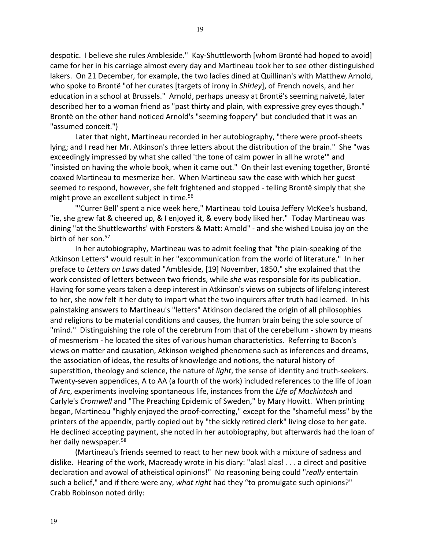despotic. I believe she rules Ambleside." Kay-Shuttleworth [whom Brontë had hoped to avoid] came for her in his carriage almost every day and Martineau took her to see other distinguished lakers. On 21 December, for example, the two ladies dined at Quillinan's with Matthew Arnold, who spoke to Brontë "of her curates [targets of irony in *Shirley*], of French novels, and her education in a school at Brussels." Arnold, perhaps uneasy at Brontë's seeming naiveté, later described her to a woman friend as "past thirty and plain, with expressive grey eyes though." Brontë on the other hand noticed Arnold's "seeming foppery" but concluded that it was an "assumed conceit.")

Later that night, Martineau recorded in her autobiography, "there were proof-sheets lying; and I read her Mr. Atkinson's three letters about the distribution of the brain." She "was exceedingly impressed by what she called 'the tone of calm power in all he wrote'" and "insisted on having the whole book, when it came out." On their last evening together, Brontë coaxed Martineau to mesmerize her. When Martineau saw the ease with which her guest seemed to respond, however, she felt frightened and stopped - telling Brontë simply that she might prove an excellent subject in time.<sup>56</sup>

"'Currer Bell' spent a nice week here," Martineau told Louisa Jeffery McKee's husband, "ie, she grew fat & cheered up, & I enjoyed it, & every body liked her." Today Martineau was dining "at the Shuttleworths' with Forsters & Matt: Arnold" - and she wished Louisa joy on the birth of her son.<sup>57</sup>

In her autobiography, Martineau was to admit feeling that "the plain-speaking of the Atkinson Letters" would result in her "excommunication from the world of literature." In her preface to *Letters on Laws* dated "Ambleside, [19] November, 1850," she explained that the work consisted of letters between two friends, while *she* was responsible for its publication. Having for some years taken a deep interest in Atkinson's views on subjects of lifelong interest to her, she now felt it her duty to impart what the two inquirers after truth had learned. In his painstaking answers to Martineau's "letters" Atkinson declared the origin of all philosophies and religions to be material conditions and causes, the human brain being the sole source of "mind." Distinguishing the role of the cerebrum from that of the cerebellum - shown by means of mesmerism - he located the sites of various human characteristics. Referring to Bacon's views on matter and causation, Atkinson weighed phenomena such as inferences and dreams, the association of ideas, the results of knowledge and notions, the natural history of superstition, theology and science, the nature of *light*, the sense of identity and truth-seekers. Twenty-seven appendices, A to AA (a fourth of the work) included references to the life of Joan of Arc, experiments involving spontaneous life, instances from the *Life of Mackintosh* and Carlyle's *Cromwell* and "The Preaching Epidemic of Sweden," by Mary Howitt. When printing began, Martineau "highly enjoyed the proof-correcting," except for the "shameful mess" by the printers of the appendix, partly copied out by "the sickly retired clerk" living close to her gate. He declined accepting payment, she noted in her autobiography, but afterwards had the loan of her daily newspaper.<sup>58</sup>

(Martineau's friends seemed to react to her new book with a mixture of sadness and dislike. Hearing of the work, Macready wrote in his diary: "alas! alas! . . . a direct and positive declaration and avowal of atheistical opinions!" No reasoning being could "*really* entertain such a belief," and if there were any, *what right* had they "to promulgate such opinions?" Crabb Robinson noted drily: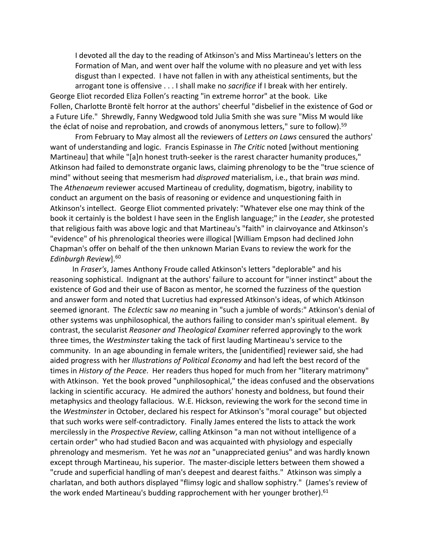I devoted all the day to the reading of Atkinson's and Miss Martineau's letters on the Formation of Man, and went over half the volume with no pleasure and yet with less disgust than I expected. I have not fallen in with any atheistical sentiments, but the arrogant tone is offensive . . . I shall make no *sacrifice* if I break with her entirely. George Eliot recorded Eliza Follen's reacting "in extreme horror" at the book. Like Follen, Charlotte Brontë felt horror at the authors' cheerful "disbelief in the existence of God or

a Future Life." Shrewdly, Fanny Wedgwood told Julia Smith she was sure "Miss M would like the éclat of noise and reprobation, and crowds of anonymous letters," sure to follow).<sup>59</sup>

From February to May almost all the reviewers of *Letters on Laws* censured the authors' want of understanding and logic. Francis Espinasse in *The Critic* noted [without mentioning Martineau] that while "[a]n honest truth-seeker is the rarest character humanity produces," Atkinson had failed to demonstrate organic laws, claiming phrenology to be the "true science of mind" without seeing that mesmerism had *disproved* materialism, i.e., that brain *was* mind. The *Athenaeum* reviewer accused Martineau of credulity, dogmatism, bigotry, inability to conduct an argument on the basis of reasoning or evidence and unquestioning faith in Atkinson's intellect. George Eliot commented privately: "Whatever else one may think of the book it certainly is the boldest I have seen in the English language;" in the *Leader*, she protested that religious faith was above logic and that Martineau's "faith" in clairvoyance and Atkinson's "evidence" of his phrenological theories were illogical [William Empson had declined John Chapman's offer on behalf of the then unknown Marian Evans to review the work for the *Edinburgh Review*].60

In *Fraser's*, James Anthony Froude called Atkinson's letters "deplorable" and his reasoning sophistical. Indignant at the authors' failure to account for "inner instinct" about the existence of God and their use of Bacon as mentor, he scorned the fuzziness of the question and answer form and noted that Lucretius had expressed Atkinson's ideas, of which Atkinson seemed ignorant. The *Eclectic* saw *no* meaning in "such a jumble of words:" Atkinson's denial of other systems was unphilosophical, the authors failing to consider man's spiritual element. By contrast, the secularist *Reasoner and Theological Examiner* referred approvingly to the work three times, the *Westminster* taking the tack of first lauding Martineau's service to the community. In an age abounding in female writers, the [unidentified] reviewer said, she had aided progress with her *Illustrations of Political Economy* and had left the best record of the times in *History of the Peace*. Her readers thus hoped for much from her "literary matrimony" with Atkinson. Yet the book proved "unphilosophical," the ideas confused and the observations lacking in scientific accuracy. He admired the authors' honesty and boldness, but found their metaphysics and theology fallacious. W.E. Hickson, reviewing the work for the second time in the *Westminster* in October, declared his respect for Atkinson's "moral courage" but objected that such works were self-contradictory. Finally James entered the lists to attack the work mercilessly in the *Prospective Review*, calling Atkinson "a man not without intelligence of a certain order" who had studied Bacon and was acquainted with physiology and especially phrenology and mesmerism. Yet he was *not* an "unappreciated genius" and was hardly known except through Martineau, his superior. The master-disciple letters between them showed a "crude and superficial handling of man's deepest and dearest faiths." Atkinson was simply a charlatan, and both authors displayed "flimsy logic and shallow sophistry." (James's review of the work ended Martineau's budding rapprochement with her younger brother).<sup>61</sup>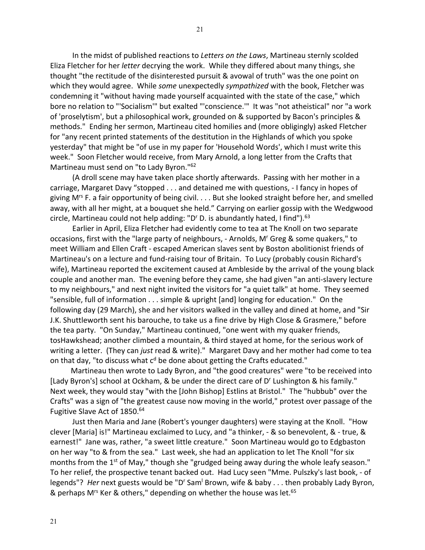In the midst of published reactions to *Letters on the Laws*, Martineau sternly scolded Eliza Fletcher for her *letter* decrying the work. While they differed about many things, she thought "the rectitude of the disinterested pursuit & avowal of truth" was the one point on which they would agree. While *some* unexpectedly *sympathized* with the book, Fletcher was condemning it "without having made yourself acquainted with the state of the case," which bore no relation to "'Socialism'" but exalted "'conscience.'" It was "not atheistical" nor "a work of 'proselytism', but a philosophical work, grounded on & supported by Bacon's principles & methods." Ending her sermon, Martineau cited homilies and (more obligingly) asked Fletcher for "any recent printed statements of the destitution in the Highlands of which you spoke yesterday" that might be "of use in my paper for 'Household Words', which I must write this week." Soon Fletcher would receive, from Mary Arnold, a long letter from the Crafts that Martineau must send on "to Lady Byron."62

(A droll scene may have taken place shortly afterwards. Passing with her mother in a carriage, Margaret Davy "stopped . . . and detained me with questions, - I fancy in hopes of giving M<sup>rs</sup> F. a fair opportunity of being civil. . . . But she looked straight before her, and smelled away, with all her might, at a bouquet she held." Carrying on earlier gossip with the Wedgwood circle, Martineau could not help adding: "D' D. is abundantly hated, I find").<sup>63</sup>

Earlier in April, Eliza Fletcher had evidently come to tea at The Knoll on two separate occasions, first with the "large party of neighbours, - Arnolds, M<sup>r</sup> Greg & some quakers," to meet William and Ellen Craft - escaped American slaves sent by Boston abolitionist friends of Martineau's on a lecture and fund-raising tour of Britain. To Lucy (probably cousin Richard's wife), Martineau reported the excitement caused at Ambleside by the arrival of the young black couple and another man. The evening before they came, she had given "an anti-slavery lecture to my neighbours," and next night invited the visitors for "a quiet talk" at home. They seemed "sensible, full of information . . . simple & upright [and] longing for education." On the following day (29 March), she and her visitors walked in the valley and dined at home, and "Sir J.K. Shuttleworth sent his barouche, to take us a fine drive by High Close & Grasmere," before the tea party. "On Sunday," Martineau continued, "one went with my quaker friends, tosHawkshead; another climbed a mountain, & third stayed at home, for the serious work of writing a letter. (They can *just* read & write)." Margaret Davy and her mother had come to tea on that day, "to discuss what  $c<sup>d</sup>$  be done about getting the Crafts educated."

 Martineau then wrote to Lady Byron, and "the good creatures" were "to be received into [Lady Byron's] school at Ockham, & be under the direct care of D<sup>r</sup> Lushington & his family." Next week, they would stay "with the [John Bishop] Estlins at Bristol." The "hubbub" over the Crafts" was a sign of "the greatest cause now moving in the world," protest over passage of the Fugitive Slave Act of 1850.<sup>64</sup>

Just then Maria and Jane (Robert's younger daughters) were staying at the Knoll. "How clever [Maria] is!" Martineau exclaimed to Lucy, and "a thinker, - & so benevolent, & - true, & earnest!" Jane was, rather, "a sweet little creature." Soon Martineau would go to Edgbaston on her way "to & from the sea." Last week, she had an application to let The Knoll "for six months from the 1<sup>st</sup> of May," though she "grudged being away during the whole leafy season." To her relief, the prospective tenant backed out. Had Lucy seen "Mme. Pulszky's last book, - of legends"? *Her* next guests would be "D' Sam<sup>1</sup> Brown, wife & baby . . . then probably Lady Byron, & perhaps M<sup>rs</sup> Ker & others," depending on whether the house was let.<sup>65</sup>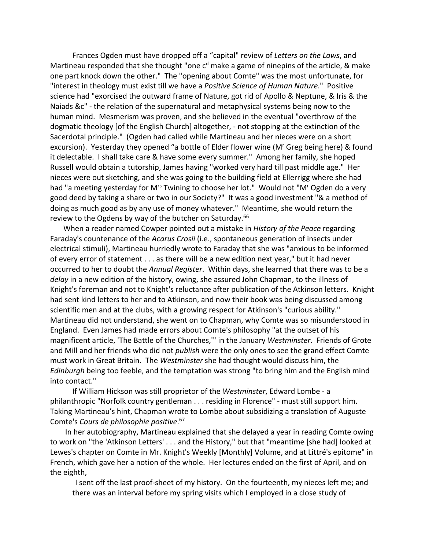Frances Ogden must have dropped off a "capital" review of *Letters on the Laws*, and Martineau responded that she thought "one  $c<sup>d</sup>$  make a game of ninepins of the article, & make one part knock down the other." The "opening about Comte" was the most unfortunate, for "interest in theology must exist till we have a *Positive Science of Human Nature*." Positive science had "exorcised the outward frame of Nature, got rid of Apollo & Neptune, & Iris & the Naiads &c" - the relation of the supernatural and metaphysical systems being now to the human mind. Mesmerism was proven, and she believed in the eventual "overthrow of the dogmatic theology [of the English Church] altogether, - not stopping at the extinction of the Sacerdotal principle." (Ogden had called while Martineau and her nieces were on a short excursion). Yesterday they opened "a bottle of Elder flower wine (M' Greg being here) & found it delectable. I shall take care & have some every summer." Among her family, she hoped Russell would obtain a tutorship, James having "worked very hard till past middle age." Her nieces were out sketching, and she was going to the building field at Ellerrigg where she had had "a meeting yesterday for M<sup>rs</sup> Twining to choose her lot." Would not "M' Ogden do a very good deed by taking a share or two in our Society?" It was a good investment "& a method of doing as much good as by any use of money whatever." Meantime, she would return the review to the Ogdens by way of the butcher on Saturday.<sup>66</sup>

 When a reader named Cowper pointed out a mistake in *History of the Peace* regarding Faraday's countenance of the *Acarus Crosii* (i.e., spontaneous generation of insects under electrical stimuli), Martineau hurriedly wrote to Faraday that she was "anxious to be informed of every error of statement . . . as there will be a new edition next year," but it had never occurred to her to doubt the *Annual Register*. Within days, she learned that there was to be a *delay* in a new edition of the history, owing, she assured John Chapman, to the illness of Knight's foreman and not to Knight's reluctance after publication of the Atkinson letters. Knight had sent kind letters to her and to Atkinson, and now their book was being discussed among scientific men and at the clubs, with a growing respect for Atkinson's "curious ability." Martineau did not understand, she went on to Chapman, why Comte was so misunderstood in England. Even James had made errors about Comte's philosophy "at the outset of his magnificent article, 'The Battle of the Churches,'" in the January *Westminster*. Friends of Grote and Mill and her friends who did not *publish* were the only ones to see the grand effect Comte must work in Great Britain. The *Westminster* she had thought would discuss him, the *Edinburgh* being too feeble, and the temptation was strong "to bring him and the English mind into contact."

If William Hickson was still proprietor of the *Westminster*, Edward Lombe - a philanthropic "Norfolk country gentleman . . . residing in Florence" - must still support him. Taking Martineau's hint, Chapman wrote to Lombe about subsidizing a translation of Auguste Comte's *Cours de philosophie positive*. 67

 In her autobiography, Martineau explained that she delayed a year in reading Comte owing to work on "the 'Atkinson Letters' . . . and the History," but that "meantime [she had] looked at Lewes's chapter on Comte in Mr. Knight's Weekly [Monthly] Volume, and at Littré's epitome" in French, which gave her a notion of the whole. Her lectures ended on the first of April, and on the eighth,

I sent off the last proof-sheet of my history. On the fourteenth, my nieces left me; and there was an interval before my spring visits which I employed in a close study of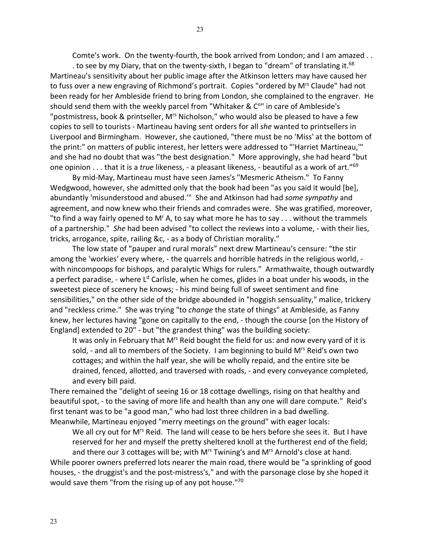Comte's work. On the twenty-fourth, the book arrived from London; and I am amazed . .

. to see by my Diary, that on the twenty-sixth, I began to "dream" of translating it.<sup>68</sup> Martineau's sensitivity about her public image after the Atkinson letters may have caused her to fuss over a new engraving of Richmond's portrait. Copies "ordered by M<sup>rs</sup> Claude" had not been ready for her Ambleside friend to bring from London, she complained to the engraver. He should send them with the weekly parcel from "Whitaker & C<sup>o</sup>" in care of Ambleside's "postmistress, book & printseller, M<sup>rs</sup> Nicholson," who would also be pleased to have a few copies to sell to tourists - Martineau having sent orders for all *she* wanted to printsellers in Liverpool and Birmingham. However, she cautioned, "there must be no 'Miss' at the bottom of the print:" on matters of public interest, her letters were addressed to "'Harriet Martineau,'" and she had no doubt that was "the best designation." More approvingly, she had heard "but one opinion . . . that it is a *true* likeness, - a pleasant likeness, - beautiful as a work of art."69

By mid-May, Martineau must have seen James's "Mesmeric Atheism." To Fanny Wedgwood, however, she admitted only that the book had been "as you said it would [be], abundantly 'misunderstood and abused.'" She and Atkinson had had *some sympathy* and agreement, and now knew who their friends and comrades were. She was gratified, moreover, "to find a way fairly opened to M' A, to say what more he has to say  $\dots$  without the trammels of a partnership." *She* had been advised "to collect the reviews into a volume, - with their lies, tricks, arrogance, spite, railing &c, - as a body of Christian morality."

The low state of "pauper and rural morals" next drew Martineau's censure: "the stir among the 'workies' every where, - the quarrels and horrible hatreds in the religious world, with nincompoops for bishops, and paralytic Whigs for rulers." Armathwaite, though outwardly a perfect paradise, - where  $L<sup>d</sup>$  Carlisle, when he comes, glides in a boat under his woods, in the sweetest piece of scenery he knows; - his mind being full of sweet sentiment and fine sensibilities," on the other side of the bridge abounded in "hoggish sensuality," malice, trickery and "reckless crime." She was trying "to *change* the state of things" at Ambleside, as Fanny knew, her lectures having "gone on capitally to the end, - though the course [on the History of England] extended to 20" - but "the grandest thing" was the building society:

It was only in February that M<sup>rs</sup> Reid bought the field for us: and now every yard of it is sold, - and all to members of the Society. I am beginning to build  $M<sup>rs</sup>$  Reid's own two cottages; and within the half year, she will be wholly repaid, and the entire site be drained, fenced, allotted, and traversed with roads, - and every conveyance completed, and every bill paid.

There remained the "delight of seeing 16 or 18 cottage dwellings, rising on that healthy and beautiful spot, - to the saving of more life and health than any one will dare compute." Reid's first tenant was to be "a good man," who had lost three children in a bad dwelling. Meanwhile, Martineau enjoyed "merry meetings on the ground" with eager locals:

We all cry out for M<sup>rs</sup> Reid. The land will cease to be hers before she sees it. But I have reserved for her and myself the pretty sheltered knoll at the furtherest end of the field; and there our 3 cottages will be; with M<sup>rs</sup> Twining's and M<sup>rs</sup> Arnold's close at hand.

While poorer owners preferred lots nearer the main road, there would be "a sprinkling of good houses, - the druggist's and the post-mistress's," and with the parsonage close by she hoped it would save them "from the rising up of any pot house."<sup>70</sup>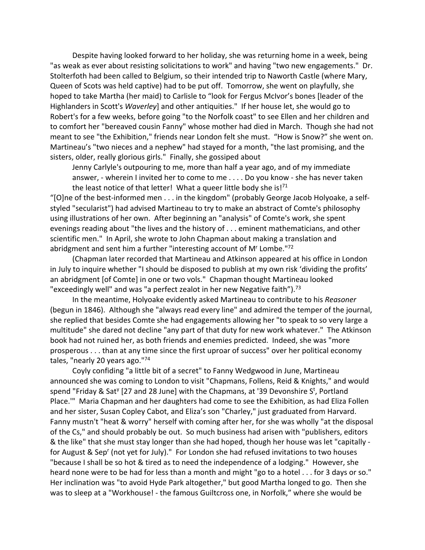Despite having looked forward to her holiday, she was returning home in a week, being "as weak as ever about resisting solicitations to work" and having "two new engagements." Dr. Stolterfoth had been called to Belgium, so their intended trip to Naworth Castle (where Mary, Queen of Scots was held captive) had to be put off. Tomorrow, she went on playfully, she hoped to take Martha (her maid) to Carlisle to "look for Fergus McIvor's bones [leader of the Highlanders in Scott's *Waverley*] and other antiquities." If her house let, she would go to Robert's for a few weeks, before going "to the Norfolk coast" to see Ellen and her children and to comfort her "bereaved cousin Fanny" whose mother had died in March. Though she had not meant to see "the Exhibition," friends near London felt she must. "How is Snow?" she went on. Martineau's "two nieces and a nephew" had stayed for a month, "the last promising, and the sisters, older, really glorious girls." Finally, she gossiped about

Jenny Carlyle's outpouring to me, more than half a year ago, and of my immediate answer, - wherein I invited her to come to me . . . . Do you know - she has never taken the least notice of that letter! What a queer little body she is! $71$ 

"[O]ne of the best-informed men . . . in the kingdom" (probably George Jacob Holyoake, a selfstyled "secularist") had advised Martineau to try to make an abstract of Comte's philosophy using illustrations of her own. After beginning an "analysis" of Comte's work, she spent evenings reading about "the lives and the history of . . . eminent mathematicians, and other scientific men." In April, she wrote to John Chapman about making a translation and abridgment and sent him a further "interesting account of M<sup>r</sup> Lombe."<sup>72</sup>

(Chapman later recorded that Martineau and Atkinson appeared at his office in London in July to inquire whether "I should be disposed to publish at my own risk 'dividing the profits' an abridgment [of Comte] in one or two vols." Chapman thought Martineau looked "exceedingly well" and was "a perfect zealot in her new Negative faith").<sup>73</sup>

In the meantime, Holyoake evidently asked Martineau to contribute to his *Reasoner* (begun in 1846). Although she "always read every line" and admired the temper of the journal, she replied that besides Comte she had engagements allowing her "to speak to so very large a multitude" she dared not decline "any part of that duty for new work whatever." The Atkinson book had not ruined her, as both friends and enemies predicted. Indeed, she was "more prosperous . . . than at any time since the first uproar of success" over her political economy tales, "nearly 20 years ago."74

Coyly confiding "a little bit of a secret" to Fanny Wedgwood in June, Martineau announced she was coming to London to visit "Chapmans, Follens, Reid & Knights," and would spend "Friday & Sat<sup>y</sup> [27 and 28 June] with the Chapmans, at '39 Devonshire S<sup>t</sup>, Portland Place.'" Maria Chapman and her daughters had come to see the Exhibition, as had Eliza Follen and her sister, Susan Copley Cabot, and Eliza's son "Charley," just graduated from Harvard. Fanny mustn't "heat & worry" herself with coming after her, for she was wholly "at the disposal of the Cs," and should probably be out. So much business had arisen with "publishers, editors & the like" that she must stay longer than she had hoped, though her house was let "capitally for August & Sep<sup>r</sup> (not yet for July)." For London she had refused invitations to two houses "because I shall be so hot & tired as to need the independence of a lodging." However, she heard none were to be had for less than a month and might "go to a hotel . . . for 3 days or so." Her inclination was "to avoid Hyde Park altogether," but good Martha longed to go. Then she was to sleep at a "Workhouse! - the famous Guiltcross one, in Norfolk," where she would be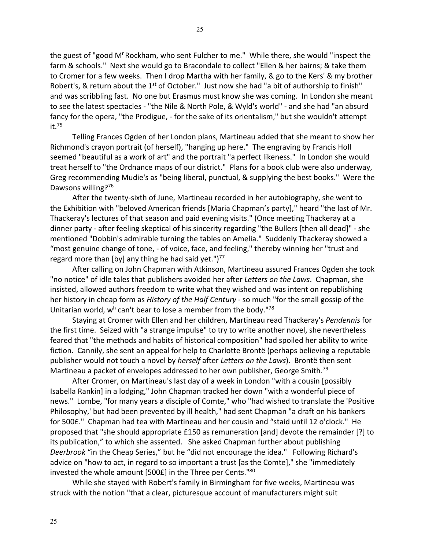the guest of "good M' Rockham, who sent Fulcher to me." While there, she would "inspect the farm & schools." Next she would go to Bracondale to collect "Ellen & her bairns; & take them to Cromer for a few weeks. Then I drop Martha with her family, & go to the Kers' & my brother Robert's, & return about the  $1<sup>st</sup>$  of October." Just now she had "a bit of authorship to finish" and was scribbling fast. No one but Erasmus must know she was coming. In London she meant to see the latest spectacles - "the Nile & North Pole, & Wyld's world" - and she had "an absurd fancy for the opera, "the Prodigue, - for the sake of its orientalism," but she wouldn't attempt it.75

Telling Frances Ogden of her London plans, Martineau added that she meant to show her Richmond's crayon portrait (of herself), "hanging up here." The engraving by Francis Holl seemed "beautiful as a work of art" and the portrait "a perfect likeness." In London she would treat herself to "the Ordnance maps of our district." Plans for a book club were also underway, Greg recommending Mudie's as "being liberal, punctual, & supplying the best books." Were the Dawsons willing?<sup>76</sup>

After the twenty-sixth of June, Martineau recorded in her autobiography, she went to the Exhibition with "beloved American friends [Maria Chapman's party]," heard "the last of Mr. Thackeray's lectures of that season and paid evening visits." (Once meeting Thackeray at a dinner party - after feeling skeptical of his sincerity regarding "the Bullers [then all dead]" - she mentioned "Dobbin's admirable turning the tables on Amelia." Suddenly Thackeray showed a "most genuine change of tone, - of voice, face, and feeling," thereby winning her "trust and regard more than [by] any thing he had said yet.")<sup>77</sup>

After calling on John Chapman with Atkinson, Martineau assured Frances Ogden she took "no notice" of idle tales that publishers avoided her after *Letters on the Laws*. Chapman, she insisted, allowed authors freedom to write what they wished and was intent on republishing her history in cheap form as *History of the Half Century* - so much "for the small gossip of the Unitarian world,  $w<sup>h</sup>$  can't bear to lose a member from the body."<sup>78</sup>

Staying at Cromer with Ellen and her children, Martineau read Thackeray's *Pendennis* for the first time. Seized with "a strange impulse" to try to write another novel, she nevertheless feared that "the methods and habits of historical composition" had spoiled her ability to write fiction. Cannily, she sent an appeal for help to Charlotte Brontë (perhaps believing a reputable publisher would not touch a novel by *herself* after *Letters on the Laws*). Brontë then sent Martineau a packet of envelopes addressed to her own publisher, George Smith.<sup>79</sup>

After Cromer, on Martineau's last day of a week in London "with a cousin [possibly Isabella Rankin] in a lodging," John Chapman tracked her down "with a wonderful piece of news." Lombe, "for many years a disciple of Comte," who "had wished to translate the 'Positive Philosophy,' but had been prevented by ill health," had sent Chapman "a draft on his bankers for 500£." Chapman had tea with Martineau and her cousin and "staid until 12 o'clock." He proposed that "she should appropriate £150 as remuneration [and] devote the remainder [?] to its publication," to which she assented. She asked Chapman further about publishing *Deerbrook* "in the Cheap Series," but he "did not encourage the idea." Following Richard's advice on "how to act, in regard to so important a trust [as the Comte]," she "immediately invested the whole amount [500£] in the Three per Cents."80

While she stayed with Robert's family in Birmingham for five weeks, Martineau was struck with the notion "that a clear, picturesque account of manufacturers might suit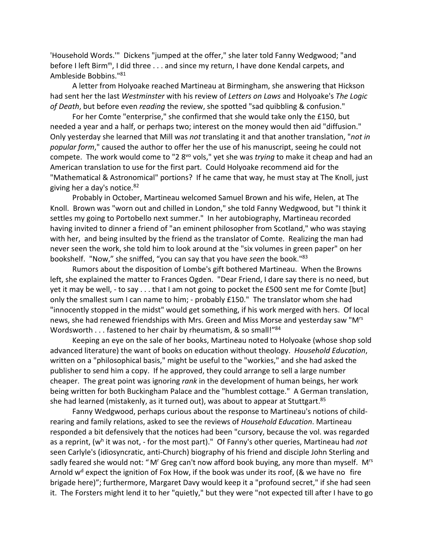'Household Words.'" Dickens "jumped at the offer," she later told Fanny Wedgwood; "and before I left Birm<sup>m</sup>, I did three . . . and since my return, I have done Kendal carpets, and Ambleside Bobbins."81

A letter from Holyoake reached Martineau at Birmingham, she answering that Hickson had sent her the last *Westminster* with his review of *Letters on Laws* and Holyoake's *The Logic of Death*, but before even *reading* the review, she spotted "sad quibbling & confusion."

For her Comte "enterprise," she confirmed that she would take only the £150, but needed a year and a half, or perhaps two; interest on the money would then aid "diffusion." Only yesterday she learned that Mill was *not* translating it and that another translation, "*not in popular form*," caused the author to offer her the use of his manuscript, seeing he could not compete. The work would come to "2 8vo vols," yet she was *trying* to make it cheap and had an American translation to use for the first part. Could Holyoake recommend aid for the "Mathematical & Astronomical" portions? If he came that way, he must stay at The Knoll, just giving her a day's notice.82

Probably in October, Martineau welcomed Samuel Brown and his wife, Helen, at The Knoll. Brown was "worn out and chilled in London," she told Fanny Wedgwood, but "I think it settles my going to Portobello next summer." In her autobiography, Martineau recorded having invited to dinner a friend of "an eminent philosopher from Scotland," who was staying with her, and being insulted by the friend as the translator of Comte. Realizing the man had never seen the work, she told him to look around at the "six volumes in green paper" on her bookshelf. "Now," she sniffed, "you can say that you have *seen* the book."83

Rumors about the disposition of Lombe's gift bothered Martineau. When the Browns left, she explained the matter to Frances Ogden. "Dear Friend, I dare say there is no need, but yet it may be well, - to say . . . that I am not going to pocket the £500 sent me for Comte [but] only the smallest sum I can name to him; - probably £150." The translator whom she had "innocently stopped in the midst" would get something, if his work merged with hers. Of local news, she had renewed friendships with Mrs. Green and Miss Morse and yesterday saw "Mrs Wordsworth . . . fastened to her chair by rheumatism, & so small!"84

Keeping an eye on the sale of her books, Martineau noted to Holyoake (whose shop sold advanced literature) the want of books on education without theology. *Household Education*, written on a "philosophical basis," might be useful to the "workies," and she had asked the publisher to send him a copy. If he approved, they could arrange to sell a large number cheaper. The great point was ignoring *rank* in the development of human beings, her work being written for both Buckingham Palace and the "humblest cottage." A German translation, she had learned (mistakenly, as it turned out), was about to appear at Stuttgart.<sup>85</sup>

Fanny Wedgwood, perhaps curious about the response to Martineau's notions of childrearing and family relations, asked to see the reviews of *Household Education*. Martineau responded a bit defensively that the notices had been "cursory, because the vol. was regarded as a reprint, (wh it was not, - for the most part)." Of Fanny's other queries, Martineau had *not* seen Carlyle's (idiosyncratic, anti-Church) biography of his friend and disciple John Sterling and sadly feared she would not: "M' Greg can't now afford book buying, any more than myself. M<sup>rs</sup> Arnold w<sup>d</sup> expect the ignition of Fox How, if the book was under its roof, (& we have no fire brigade here)"; furthermore, Margaret Davy would keep it a "profound secret," if she had seen it. The Forsters might lend it to her "quietly," but they were "not expected till after I have to go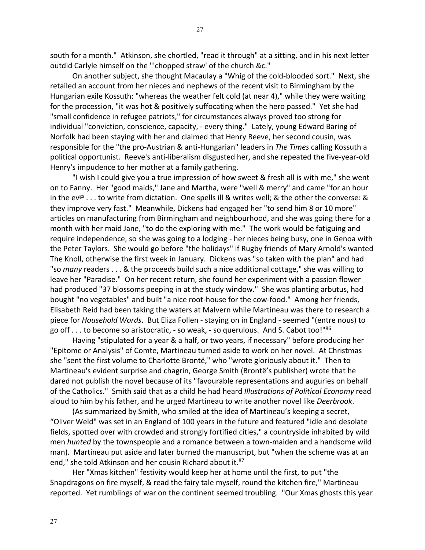27

south for a month." Atkinson, she chortled, "read it through" at a sitting, and in his next letter outdid Carlyle himself on the "'chopped straw' of the church &c."

On another subject, she thought Macaulay a "Whig of the cold-blooded sort." Next, she retailed an account from her nieces and nephews of the recent visit to Birmingham by the Hungarian exile Kossuth: "whereas the weather felt cold (at near 4)," while they were waiting for the procession, "it was hot & positively suffocating when the hero passed." Yet she had "small confidence in refugee patriots," for circumstances always proved too strong for individual "conviction, conscience, capacity, - every thing." Lately, young Edward Baring of Norfolk had been staying with her and claimed that Henry Reeve, her second cousin, was responsible for the "the pro-Austrian & anti-Hungarian" leaders in *The Times* calling Kossuth a political opportunist. Reeve's anti-liberalism disgusted her, and she repeated the five-year-old Henry's impudence to her mother at a family gathering.

"I wish I could give you a true impression of how sweet & fresh all is with me," she went on to Fanny. Her "good maids," Jane and Martha, were "well & merry" and came "for an hour in the ev<sup>gs</sup> . . . to write from dictation. One spells ill & writes well; & the other the converse: & they improve very fast." Meanwhile, Dickens had engaged her "to send him 8 or 10 more" articles on manufacturing from Birmingham and neighbourhood, and she was going there for a month with her maid Jane, "to do the exploring with me." The work would be fatiguing and require independence, so she was going to a lodging - her nieces being busy, one in Genoa with the Peter Taylors. She would go before "the holidays" if Rugby friends of Mary Arnold's wanted The Knoll, otherwise the first week in January. Dickens was "so taken with the plan" and had "so *many* readers . . . & the proceeds build such a nice additional cottage," she was willing to leave her "Paradise." On her recent return, she found her experiment with a passion flower had produced "37 blossoms peeping in at the study window." She was planting arbutus, had bought "no vegetables" and built "a nice root-house for the cow-food." Among her friends, Elisabeth Reid had been taking the waters at Malvern while Martineau was there to research a piece for *Household Words*. But Eliza Follen - staying on in England - seemed "(entre nous) to go off... to become so aristocratic, - so weak, - so querulous. And S. Cabot too!" $86$ 

Having "stipulated for a year & a half, or two years, if necessary" before producing her "Epitome or Analysis" of Comte, Martineau turned aside to work on her novel. At Christmas she "sent the first volume to Charlotte Brontë," who "wrote gloriously about it." Then to Martineau's evident surprise and chagrin, George Smith (Brontë's publisher) wrote that he dared not publish the novel because of its "favourable representations and auguries on behalf of the Catholics." Smith said that as a child he had heard *Illustrations of Political Economy* read aloud to him by his father, and he urged Martineau to write another novel like *Deerbrook*.

(As summarized by Smith, who smiled at the idea of Martineau's keeping a secret, "Oliver Weld" was set in an England of 100 years in the future and featured "idle and desolate fields, spotted over with crowded and strongly fortified cities," a countryside inhabited by wild men *hunted* by the townspeople and a romance between a town-maiden and a handsome wild man). Martineau put aside and later burned the manuscript, but "when the scheme was at an end," she told Atkinson and her cousin Richard about it.<sup>87</sup>

Her "Xmas kitchen" festivity would keep her at home until the first, to put "the Snapdragons on fire myself, & read the fairy tale myself, round the kitchen fire," Martineau reported. Yet rumblings of war on the continent seemed troubling. "Our Xmas ghosts this year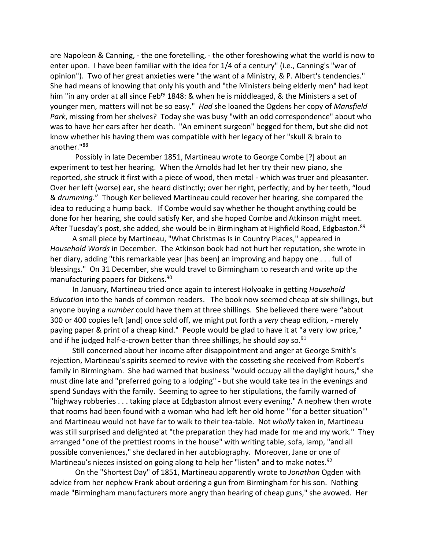are Napoleon & Canning, - the one foretelling, - the other foreshowing what the world is now to enter upon. I have been familiar with the idea for 1/4 of a century" (i.e., Canning's "war of opinion"). Two of her great anxieties were "the want of a Ministry, & P. Albert's tendencies." She had means of knowing that only his youth and "the Ministers being elderly men" had kept him "in any order at all since Feb<sup>ry</sup> 1848: & when he is middleaged, & the Ministers a set of younger men, matters will not be so easy." *Had* she loaned the Ogdens her copy of *Mansfield Park*, missing from her shelves? Today she was busy "with an odd correspondence" about who was to have her ears after her death. "An eminent surgeon" begged for them, but she did not know whether his having them was compatible with her legacy of her "skull & brain to another."88

Possibly in late December 1851, Martineau wrote to George Combe [?] about an experiment to test her hearing. When the Arnolds had let her try their new piano, she reported, she struck it first with a piece of wood, then metal - which was truer and pleasanter. Over her left (worse) ear, she heard distinctly; over her right, perfectly; and by her teeth, "loud & *drumming*." Though Ker believed Martineau could recover her hearing, she compared the idea to reducing a hump back. If Combe would say whether he thought anything could be done for her hearing, she could satisfy Ker, and she hoped Combe and Atkinson might meet. After Tuesday's post, she added, she would be in Birmingham at Highfield Road, Edgbaston.<sup>89</sup>

A small piece by Martineau, "What Christmas Is in Country Places," appeared in *Household Words* in December. The Atkinson book had not hurt her reputation, she wrote in her diary, adding "this remarkable year [has been] an improving and happy one . . . full of blessings." On 31 December, she would travel to Birmingham to research and write up the manufacturing papers for Dickens.90

In January, Martineau tried once again to interest Holyoake in getting *Household Education* into the hands of common readers. The book now seemed cheap at six shillings, but anyone buying a *number* could have them at three shillings. She believed there were "about 300 or 400 copies left [and] once sold off, we might put forth a *very* cheap edition, - merely paying paper & print of a cheap kind." People would be glad to have it at "a very low price," and if he judged half-a-crown better than three shillings, he should *say* so.<sup>91</sup>

Still concerned about her income after disappointment and anger at George Smith's rejection, Martineau's spirits seemed to revive with the cosseting she received from Robert's family in Birmingham. She had warned that business "would occupy all the daylight hours," she must dine late and "preferred going to a lodging" - but she would take tea in the evenings and spend Sundays with the family. Seeming to agree to her stipulations, the family warned of "highway robberies . . . taking place at Edgbaston almost every evening." A nephew then wrote that rooms had been found with a woman who had left her old home "'for a better situation'" and Martineau would not have far to walk to their tea-table. Not *wholly* taken in, Martineau was still surprised and delighted at "the preparation they had made for me and my work." They arranged "one of the prettiest rooms in the house" with writing table, sofa, lamp, "and all possible conveniences," she declared in her autobiography. Moreover, Jane or one of Martineau's nieces insisted on going along to help her "listen" and to make notes.<sup>92</sup>

On the "Shortest Day" of 1851, Martineau apparently wrote to *Jonathan* Ogden with advice from her nephew Frank about ordering a gun from Birmingham for his son. Nothing made "Birmingham manufacturers more angry than hearing of cheap guns," she avowed. Her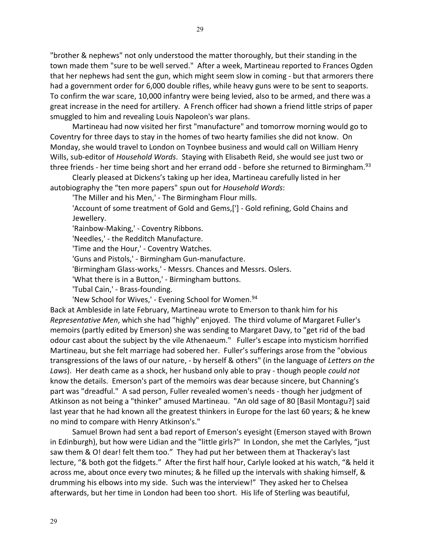"brother & nephews" not only understood the matter thoroughly, but their standing in the town made them "sure to be well served." After a week, Martineau reported to Frances Ogden that her nephews had sent the gun, which might seem slow in coming - but that armorers there had a government order for 6,000 double rifles, while heavy guns were to be sent to seaports. To confirm the war scare, 10,000 infantry were being levied, also to be armed, and there was a great increase in the need for artillery. A French officer had shown a friend little strips of paper smuggled to him and revealing Louis Napoleon's war plans.

Martineau had now visited her first "manufacture" and tomorrow morning would go to Coventry for three days to stay in the homes of two hearty families she did not know. On Monday, she would travel to London on Toynbee business and would call on William Henry Wills, sub-editor of *Household Words*. Staying with Elisabeth Reid, she would see just two or three friends - her time being short and her errand odd - before she returned to Birmingham.<sup>93</sup>

Clearly pleased at Dickens's taking up her idea, Martineau carefully listed in her autobiography the "ten more papers" spun out for *Household Words*:

'The Miller and his Men,' - The Birmingham Flour mills.

'Account of some treatment of Gold and Gems,['] - Gold refining, Gold Chains and Jewellery.

'Rainbow-Making,' - Coventry Ribbons.

'Needles,' - the Redditch Manufacture.

'Time and the Hour,' - Coventry Watches.

'Guns and Pistols,' - Birmingham Gun-manufacture.

'Birmingham Glass-works,' - Messrs. Chances and Messrs. Oslers.

'What there is in a Button,' - Birmingham buttons.

'Tubal Cain,' - Brass-founding.

'New School for Wives,' - Evening School for Women.<sup>94</sup>

Back at Ambleside in late February, Martineau wrote to Emerson to thank him for his *Representative Men*, which she had "highly" enjoyed. The third volume of Margaret Fuller's memoirs (partly edited by Emerson) she was sending to Margaret Davy, to "get rid of the bad odour cast about the subject by the vile Athenaeum." Fuller's escape into mysticism horrified Martineau, but she felt marriage had sobered her. Fuller's sufferings arose from the "obvious transgressions of the laws of our nature, - by herself & others" (in the language of *Letters on the Laws*). Her death came as a shock, her husband only able to pray - though people *could not* know the details. Emerson's part of the memoirs was dear because sincere, but Channing's part was "dreadful." A sad person, Fuller revealed women's needs - though her judgment of Atkinson as not being a "thinker" amused Martineau. "An old sage of 80 [Basil Montagu?] said last year that he had known all the greatest thinkers in Europe for the last 60 years; & he knew no mind to compare with Henry Atkinson's."

Samuel Brown had sent a bad report of Emerson's eyesight (Emerson stayed with Brown in Edinburgh), but how were Lidian and the "little girls?" In London, she met the Carlyles, "just saw them & O! dear! felt them too." They had put her between them at Thackeray's last lecture, "& both got the fidgets." After the first half hour, Carlyle looked at his watch, "& held it across me, about once every two minutes; & he filled up the intervals with shaking himself, & drumming his elbows into my side. Such was the interview!" They asked her to Chelsea afterwards, but her time in London had been too short. His life of Sterling was beautiful,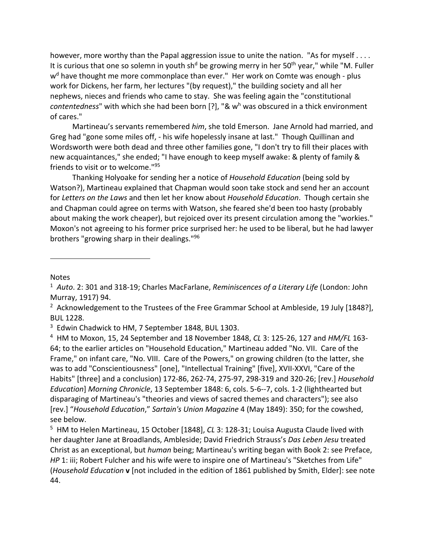however, more worthy than the Papal aggression issue to unite the nation. "As for myself . . . . It is curious that one so solemn in youth sh<sup>d</sup> be growing merry in her 50<sup>th</sup> year," while "M. Fuller w<sup>d</sup> have thought me more commonplace than ever." Her work on Comte was enough - plus work for Dickens, her farm, her lectures "(by request)," the building society and all her nephews, nieces and friends who came to stay. She was feeling again the "constitutional *contentedness*" with which she had been born [?], "& w<sup>h</sup> was obscured in a thick environment of cares."

Martineau's servants remembered *him*, she told Emerson. Jane Arnold had married, and Greg had "gone some miles off, - his wife hopelessly insane at last." Though Quillinan and Wordsworth were both dead and three other families gone, "I don't try to fill their places with new acquaintances," she ended; "I have enough to keep myself awake: & plenty of family & friends to visit or to welcome."95

Thanking Holyoake for sending her a notice of *Household Education* (being sold by Watson?), Martineau explained that Chapman would soon take stock and send her an account for *Letters on the Laws* and then let her know about *Household Education*. Though certain she and Chapman could agree on terms with Watson, she feared she'd been too hasty (probably about making the work cheaper), but rejoiced over its present circulation among the "workies." Moxon's not agreeing to his former price surprised her: he used to be liberal, but he had lawyer brothers "growing sharp in their dealings."96

Notes

<sup>1</sup> *Auto*. 2: 301 and 318-19; Charles MacFarlane, *Reminiscences of a Literary Life* (London: John Murray, 1917) 94.

<sup>&</sup>lt;sup>2</sup> Acknowledgement to the Trustees of the Free Grammar School at Ambleside, 19 July [1848?], BUL 1228.

<sup>&</sup>lt;sup>3</sup> Edwin Chadwick to HM, 7 September 1848, BUL 1303.

<sup>4</sup> HM to Moxon, 15, 24 September and 18 November 1848, *CL* 3: 125-26, 127 and *HM/FL* 163- 64; to the earlier articles on "Household Education," Martineau added "No. VII. Care of the Frame," on infant care, "No. VIII. Care of the Powers," on growing children (to the latter, she was to add "Conscientiousness" [one], "Intellectual Training" [five], XVII-XXVI, "Care of the Habits" [three] and a conclusion) 172-86, 262-74, 275-97, 298-319 and 320-26; [rev.] *Household Education*] *Morning Chronicle*, 13 September 1848: 6, cols. 5-6--7, cols. 1-2 (lighthearted but disparaging of Martineau's "theories and views of sacred themes and characters"); see also [rev.] "*Household Education*," *Sartain's Union Magazine* 4 (May 1849): 350; for the cowshed, see below.

<sup>5</sup> HM to Helen Martineau, 15 October [1848], *CL* 3: 128-31; Louisa Augusta Claude lived with her daughter Jane at Broadlands, Ambleside; David Friedrich Strauss's *Das Leben Jesu* treated Christ as an exceptional, but *human* being; Martineau's writing began with Book 2: see Preface, *HP* 1: iii; Robert Fulcher and his wife were to inspire one of Martineau's "Sketches from Life" (*Household Education* **v** [not included in the edition of 1861 published by Smith, Elder]: see note 44.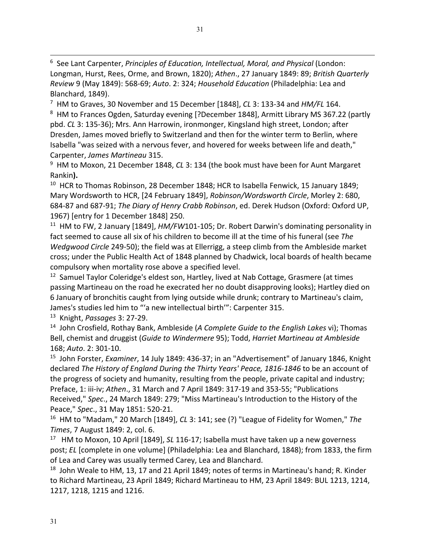6 See Lant Carpenter, *Principles of Education, Intellectual, Moral, and Physical* (London: Longman, Hurst, Rees, Orme, and Brown, 1820); *Athen*., 27 January 1849: 89; *British Quarterly Review* 9 (May 1849): 568-69; *Auto*. 2: 324; *Household Education* (Philadelphia: Lea and Blanchard, 1849).

7 HM to Graves, 30 November and 15 December [1848], *CL* 3: 133-34 and *HM/FL* 164.

<sup>8</sup> HM to Frances Ogden, Saturday evening [?December 1848], Armitt Library MS 367.22 (partly pbd. *CL* 3: 135-36); Mrs. Ann Harrowin, ironmonger, Kingsland high street, London; after Dresden, James moved briefly to Switzerland and then for the winter term to Berlin, where Isabella "was seized with a nervous fever, and hovered for weeks between life and death," Carpenter, *James Martineau* 315.

9 HM to Moxon, 21 December 1848, *CL* 3: 134 (the book must have been for Aunt Margaret Rankin**).**

<sup>10</sup> HCR to Thomas Robinson, 28 December 1848; HCR to Isabella Fenwick, 15 January 1849; Mary Wordsworth to HCR, [24 February 1849], *Robinson/Wordsworth Circle*, Morley 2: 680, 684-87 and 687-91; *The Diary of Henry Crabb Robinson*, ed. Derek Hudson (Oxford: Oxford UP, 1967) [entry for 1 December 1848] 250.

11 HM to FW, 2 January [1849], *HM/FW*101-105; Dr. Robert Darwin's dominating personality in fact seemed to cause all six of his children to become ill at the time of his funeral (see *The Wedgwood Circle* 249-50); the field was at Ellerrigg, a steep climb from the Ambleside market cross; under the Public Health Act of 1848 planned by Chadwick, local boards of health became compulsory when mortality rose above a specified level.

<sup>12</sup> Samuel Taylor Coleridge's eldest son, Hartley, lived at Nab Cottage, Grasmere (at times passing Martineau on the road he execrated her no doubt disapproving looks); Hartley died on 6 January of bronchitis caught from lying outside while drunk; contrary to Martineau's claim, James's studies led him to "'a new intellectual birth'": Carpenter 315.

13 Knight, *Passages* 3: 27-29.

14 John Crosfield, Rothay Bank, Ambleside (*A Complete Guide to the English Lakes* vi); Thomas Bell, chemist and druggist (*Guide to Windermere* 95); Todd, *Harriet Martineau at Ambleside* 168; *Auto*. 2: 301-10.

15 John Forster, *Examiner*, 14 July 1849: 436-37; in an "Advertisement" of January 1846, Knight declared *The History of England During the Thirty Years' Peace, 1816-1846* to be an account of the progress of society and humanity, resulting from the people, private capital and industry; Preface, 1: iii-iv; *Athen*., 31 March and 7 April 1849: 317-19 and 353-55; "Publications Received," *Spec*., 24 March 1849: 279; "Miss Martineau's Introduction to the History of the Peace," *Spec*., 31 May 1851: 520-21.

16 HM to "Madam," 20 March [1849], *CL* 3: 141; see (?) "League of Fidelity for Women," *The Times*, 7 August 1849: 2, col. 6.

17 HM to Moxon, 10 April [1849], *SL* 116-17; Isabella must have taken up a new governess post; *EL* [complete in one volume] (Philadelphia: Lea and Blanchard, 1848); from 1833, the firm of Lea and Carey was usually termed Carey, Lea and Blanchard.

 $18$  John Weale to HM, 13, 17 and 21 April 1849; notes of terms in Martineau's hand; R. Kinder to Richard Martineau, 23 April 1849; Richard Martineau to HM, 23 April 1849: BUL 1213, 1214, 1217, 1218, 1215 and 1216.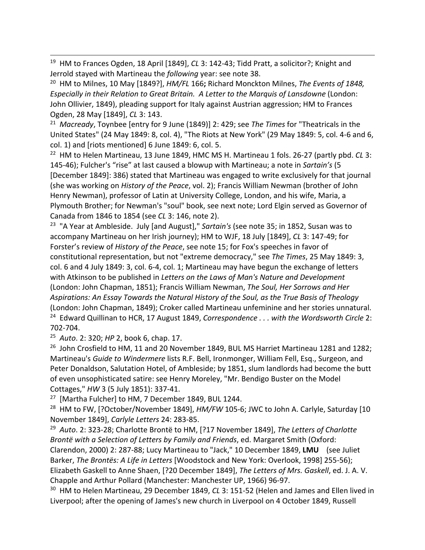19 HM to Frances Ogden, 18 April [1849], *CL* 3: 142-43; Tidd Pratt, a solicitor?; Knight and Jerrold stayed with Martineau the *following* year: see note 38.

20 HM to Milnes, 10 May [1849?], *HM/FL* 166**;** Richard Monckton Milnes, *The Events of 1848, Especially in their Relation to Great Britain. A Letter to the Marquis of Lansdowne* (London: John Ollivier, 1849), pleading support for Italy against Austrian aggression; HM to Frances Ogden, 28 May [1849], *CL* 3: 143.

21 *Macready*, Toynbee [entry for 9 June (1849)] 2: 429; see *The Times* for "Theatricals in the United States" (24 May 1849: 8, col. 4), "The Riots at New York" (29 May 1849: 5, col. 4-6 and 6, col. 1) and [riots mentioned] 6 June 1849: 6, col. 5.<br><sup>22</sup> HM to Helen Martineau, 13 June 1849, HMC MS H. Martineau 1 fols. 26-27 (partly pbd. *CL* 3:

145-46); Fulcher's "rise" at last caused a blowup with Martineau; a note in *Sartain's* (5 [December 1849]: 386) stated that Martineau was engaged to write exclusively for that journal (she was working on *History of the Peace*, vol. 2); Francis William Newman (brother of John Henry Newman), professor of Latin at University College, London, and his wife, Maria, a Plymouth Brother; for Newman's "soul" book, see next note; Lord Elgin served as Governor of Canada from 1846 to 1854 (see *CL* 3: 146, note 2).

23 "A Year at Ambleside. July [and August]," *Sartain's* (see note 35; in 1852, Susan was to accompany Martineau on her Irish journey); HM to WJF, 18 July [1849], *CL* 3: 147-49; for Forster's review of *History of the Peace*, see note 15; for Fox's speeches in favor of constitutional representation, but not "extreme democracy," see *The Times*, 25 May 1849: 3, col. 6 and 4 July 1849: 3, col. 6-4, col. 1; Martineau may have begun the exchange of letters with Atkinson to be published in *Letters on the Laws of Man's Nature and Development* (London: John Chapman, 1851); Francis William Newman, *The Soul, Her Sorrows and Her Aspirations: An Essay Towards the Natural History of the Soul, as the True Basis of Theology* (London: John Chapman, 1849); Croker called Martineau unfeminine and her stories unnatural. 24 Edward Quillinan to HCR, 17 August 1849, *Correspondence . . . with the Wordsworth Circle* 2: 702-704.

25 *Auto*. 2: 320; *HP* 2, book 6, chap. 17.

<sup>26</sup> John Crosfield to HM, 11 and 20 November 1849, BUL MS Harriet Martineau 1281 and 1282; Martineau's *Guide to Windermere* lists R.F. Bell, Ironmonger, William Fell, Esq., Surgeon, and Peter Donaldson, Salutation Hotel, of Ambleside; by 1851, slum landlords had become the butt of even unsophisticated satire: see Henry Moreley, "Mr. Bendigo Buster on the Model Cottages," *HW* 3 (5 July 1851): 337-41.

<sup>27</sup> [Martha Fulcher] to HM, 7 December 1849, BUL 1244.

<sup>28</sup> HM to FW, [?October/November 1849], *HM/FW* 105-6; JWC to John A. Carlyle, Saturday [10 November 1849], *Carlyle Letters* 24: 283-85.

29 *Auto*. 2: 323-28; Charlotte Brontë to HM, [?17 November 1849], *The Letters of Charlotte Brontë with a Selection of Letters by Family and Friends*, ed. Margaret Smith (Oxford: Clarendon, 2000) 2: 287-88; Lucy Martineau to "Jack," 10 December 1849, **LMU** (see Juliet Barker, *The Brontës: A Life in Letters* [Woodstock and New York: Overlook, 1998] 255-56); Elizabeth Gaskell to Anne Shaen, [?20 December 1849], *The Letters of Mrs. Gaskell*, ed. J. A. V. Chapple and Arthur Pollard (Manchester: Manchester UP, 1966) 96-97.

30 HM to Helen Martineau, 29 December 1849, *CL* 3: 151-52 (Helen and James and Ellen lived in Liverpool; after the opening of James's new church in Liverpool on 4 October 1849, Russell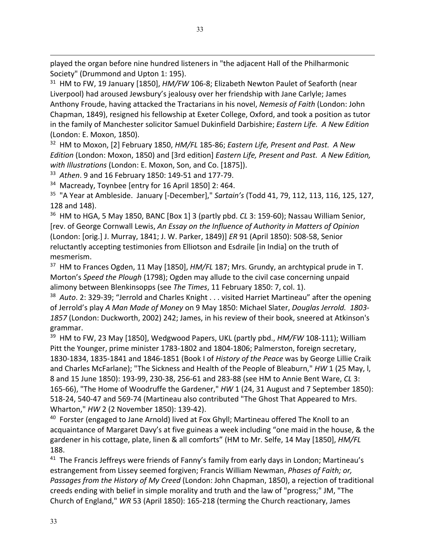played the organ before nine hundred listeners in "the adjacent Hall of the Philharmonic Society" (Drummond and Upton 1: 195).

<sup>31</sup> HM to FW, 19 January [1850], *HM/FW* 106-8; Elizabeth Newton Paulet of Seaforth (near Liverpool) had aroused Jewsbury's jealousy over her friendship with Jane Carlyle; James Anthony Froude, having attacked the Tractarians in his novel, *Nemesis of Faith* (London: John Chapman, 1849), resigned his fellowship at Exeter College, Oxford, and took a position as tutor in the family of Manchester solicitor Samuel Dukinfield Darbishire; *Eastern Life. A New Edition* (London: E. Moxon, 1850).

32 HM to Moxon, [2] February 1850, *HM/FL* 185-86; *Eastern Life, Present and Past. A New Edition* (London: Moxon, 1850) and [3rd edition] *Eastern Life, Present and Past. A New Edition, with Illustrations* (London: E. Moxon, Son, and Co. [1875]).

33 *Athen*. 9 and 16 February 1850: 149-51 and 177-79.

34 Macready, Toynbee [entry for 16 April 1850] 2: 464.

35 "A Year at Ambleside. January [-December]," *Sartain's* (Todd 41, 79, 112, 113, 116, 125, 127, 128 and 148).

36 HM to HGA, 5 May 1850, BANC [Box 1] 3 (partly pbd. *CL* 3: 159-60); Nassau William Senior, [rev. of George Cornwall Lewis, *An Essay on the Influence of Authority in Matters of Opinion* (London: [orig.] J. Murray, 1841; J. W. Parker, 1849)] *ER* 91 (April 1850): 508-58, Senior reluctantly accepting testimonies from Elliotson and Esdraile [in India] on the truth of mesmerism.

37 HM to Frances Ogden, 11 May [1850], *HM/FL* 187; Mrs. Grundy, an archtypical prude in T. Morton's *Speed the Plough* (1798); Ogden may allude to the civil case concerning unpaid alimony between Blenkinsopps (see *The Times*, 11 February 1850: 7, col. 1).

38 *Auto*. 2: 329-39; "Jerrold and Charles Knight . . . visited Harriet Martineau" after the opening of Jerrold's play *A Man Made of Money* on 9 May 1850: Michael Slater, *Douglas Jerrold. 1803- 1857* (London: Duckworth, 2002) 242; James, in his review of their book, sneered at Atkinson's grammar.

39 HM to FW, 23 May [1850], Wedgwood Papers, UKL (partly pbd., *HM/FW* 108-111); William Pitt the Younger, prime minister 1783-1802 and 1804-1806; Palmerston, foreign secretary, 1830-1834, 1835-1841 and 1846-1851 (Book I of *History of the Peace* was by George Lillie Craik and Charles McFarlane); "The Sickness and Health of the People of Bleaburn," *HW* 1 (25 May, l, 8 and 15 June 1850): 193-99, 230-38, 256-61 and 283-88 (see HM to Annie Bent Ware, *CL* 3: 165-66), "The Home of Woodruffe the Gardener," *HW* 1 (24, 31 August and 7 September 1850): 518-24, 540-47 and 569-74 (Martineau also contributed "The Ghost That Appeared to Mrs. Wharton," *HW* 2 (2 November 1850): 139-42).

<sup>40</sup> Forster (engaged to Jane Arnold) lived at Fox Ghyll; Martineau offered The Knoll to an acquaintance of Margaret Davy's at five guineas a week including "one maid in the house, & the gardener in his cottage, plate, linen & all comforts" (HM to Mr. Selfe, 14 May [1850], *HM/FL* 188.

<sup>41</sup> The Francis Jeffreys were friends of Fanny's family from early days in London; Martineau's estrangement from Lissey seemed forgiven; Francis William Newman, *Phases of Faith; or, Passages from the History of My Creed* (London: John Chapman, 1850), a rejection of traditional creeds ending with belief in simple morality and truth and the law of "progress;" JM, "The Church of England," *WR* 53 (April 1850): 165-218 (terming the Church reactionary, James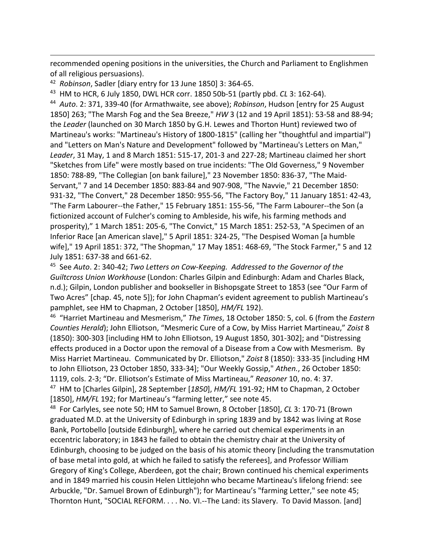recommended opening positions in the universities, the Church and Parliament to Englishmen of all religious persuasions).

42 *Robinson*, Sadler [diary entry for 13 June 1850] 3: 364-65.

43 HM to HCR, 6 July 1850, DWL HCR corr. 1850 50b-51 (partly pbd. *CL* 3: 162-64).

44 *Auto*. 2: 371, 339-40 (for Armathwaite, see above); *Robinson*, Hudson [entry for 25 August 1850] 263; "The Marsh Fog and the Sea Breeze," *HW* 3 (12 and 19 April 1851): 53-58 and 88-94; the *Leader* (launched on 30 March 1850 by G.H. Lewes and Thorton Hunt) reviewed two of Martineau's works: "Martineau's History of 1800-1815" (calling her "thoughtful and impartial") and "Letters on Man's Nature and Development" followed by "Martineau's Letters on Man," *Leader*, 31 May, 1 and 8 March 1851: 515-17, 201-3 and 227-28; Martineau claimed her short "Sketches from Life" were mostly based on true incidents: "The Old Governess," 9 November 1850: 788-89, "The Collegian [on bank failure]," 23 November 1850: 836-37, "The Maid-Servant," 7 and 14 December 1850: 883-84 and 907-908, "The Navvie," 21 December 1850: 931-32, "The Convert," 28 December 1850: 955-56, "The Factory Boy," 11 January 1851: 42-43, "The Farm Labourer--the Father," 15 February 1851: 155-56, "The Farm Labourer--the Son (a fictionized account of Fulcher's coming to Ambleside, his wife, his farming methods and prosperity)," 1 March 1851: 205-6, "The Convict," 15 March 1851: 252-53, "A Specimen of an Inferior Race [an American slave]," 5 April 1851: 324-25, "The Despised Woman [a humble wife]," 19 April 1851: 372, "The Shopman," 17 May 1851: 468-69, "The Stock Farmer," 5 and 12 July 1851: 637-38 and 661-62.

45 See *Auto*. 2: 340-42; *Two Letters on Cow-Keeping. Addressed to the Governor of the Guiltcross Union Workhouse* (London: Charles Gilpin and Edinburgh: Adam and Charles Black, n.d.); Gilpin, London publisher and bookseller in Bishopsgate Street to 1853 (see "Our Farm of Two Acres" [chap. 45, note 5]); for John Chapman's evident agreement to publish Martineau's pamphlet, see HM to Chapman, 2 October [1850], *HM/FL* 192).

46 "Harriet Martineau and Mesmerism," *The Times*, 18 October 1850: 5, col. 6 (from the *Eastern Counties Herald*); John Elliotson, "Mesmeric Cure of a Cow, by Miss Harriet Martineau," *Zoist* 8 (1850): 300-303 [including HM to John Elliotson, 19 August 1850, 301-302]; and "Distressing effects produced in a Doctor upon the removal of a Disease from a Cow with Mesmerism. By Miss Harriet Martineau. Communicated by Dr. Elliotson," *Zoist* 8 (1850): 333-35 [including HM to John Elliotson, 23 October 1850, 333-34]; "Our Weekly Gossip," *Athen.*, 26 October 1850: 1119, cols. 2-3; "Dr. Elliotson's Estimate of Miss Martineau," *Reasoner* 10, no. 4: 37. 47 HM to [Charles Gilpin], 28 September [*1850*], *HM/FL* 191-92; HM to Chapman, 2 October [1850], *HM/FL* 192; for Martineau's "farming letter," see note 45.

48 For Carlyles, see note 50; HM to Samuel Brown, 8 October [1850], *CL* 3: 170-71 (Brown graduated M.D. at the University of Edinburgh in spring 1839 and by 1842 was living at Rose Bank, Portobello [outside Edinburgh], where he carried out chemical experiments in an eccentric laboratory; in 1843 he failed to obtain the chemistry chair at the University of Edinburgh, choosing to be judged on the basis of his atomic theory [including the transmutation of base metal into gold, at which he failed to satisfy the referees], and Professor William Gregory of King's College, Aberdeen, got the chair; Brown continued his chemical experiments and in 1849 married his cousin Helen Littlejohn who became Martineau's lifelong friend: see Arbuckle, "Dr. Samuel Brown of Edinburgh"); for Martineau's "farming Letter," see note 45; Thornton Hunt, "SOCIAL REFORM. . . . No. VI.--The Land: its Slavery. To David Masson. [and]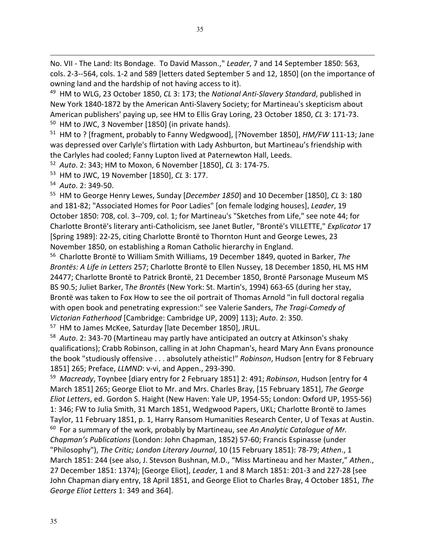No. VII - The Land: Its Bondage. To David Masson.," *Leader*, 7 and 14 September 1850: 563, cols. 2-3--564, cols. 1-2 and 589 [letters dated September 5 and 12, 1850] (on the importance of owning land and the hardship of not having access to it).

49 HM to WLG, 23 October 1850, *CL* 3: 173; the *National Anti-Slavery Standard*, published in New York 1840-1872 by the American Anti-Slavery Society; for Martineau's skepticism about American publishers' paying up, see HM to Ellis Gray Loring, 23 October 1850, *CL* 3: 171-73. <sup>50</sup> HM to JWC, 3 November [1850] (in private hands).

51 HM to ? [fragment, probably to Fanny Wedgwood], [?November 1850], *HM/FW* 111-13; Jane was depressed over Carlyle's flirtation with Lady Ashburton, but Martineau's friendship with the Carlyles had cooled; Fanny Lupton lived at Paternewton Hall, Leeds.

52 *Auto*. 2: 343; HM to Moxon, 6 November [1850], *CL* 3: 174-75.

53 HM to JWC, 19 November [1850], *CL* 3: 177.

54 *Auto*. 2: 349-50.

55 HM to George Henry Lewes, Sunday [*December 1850*] and 10 December [1850], *CL* 3: 180 and 181-82; "Associated Homes for Poor Ladies" [on female lodging houses], *Leader*, 19 October 1850: 708, col. 3--709, col. 1; for Martineau's "Sketches from Life," see note 44; for Charlotte Brontë's literary anti-Catholicism, see Janet Butler, "Brontë's VILLETTE," *Explicator* 17 [Spring 1989]: 22-25, citing Charlotte Brontë to Thornton Hunt and George Lewes, 23 November 1850, on establishing a Roman Catholic hierarchy in England.

56 Charlotte Brontë to William Smith Williams, 19 December 1849, quoted in Barker, *The Brontës: A Life in Letters* 257; Charlotte Brontë to Ellen Nussey, 18 December 1850, HL MS HM 24477; Charlotte Brontë to Patrick Brontë, 21 December 1850, Brontë Parsonage Museum MS BS 90.5; Juliet Barker, T*he Brontës* (New York: St. Martin's, 1994) 663-65 (during her stay, Brontë was taken to Fox How to see the oil portrait of Thomas Arnold "in full doctoral regalia with open book and penetrating expression:" see Valerie Sanders, *The Tragi-Comedy of Victorian Fatherhood* [Cambridge: Cambridge UP, 2009] 113); *Auto*. 2: 350.

57 HM to James McKee, Saturday [late December 1850], JRUL.

58 *Auto*. 2: 343-70 (Martineau may partly have anticipated an outcry at Atkinson's shaky qualifications); Crabb Robinson, calling in at John Chapman's, heard Mary Ann Evans pronounce the book "studiously offensive . . . absolutely atheistic!" *Robinson*, Hudson [entry for 8 February 1851] 265; Preface, *LLMND*: v-vi, and Appen., 293-390.

59 *Macready*, Toynbee [diary entry for 2 February 1851] 2: 491; *Robinson*, Hudson [entry for 4 March 1851] 265; George Eliot to Mr. and Mrs. Charles Bray, [15 February 1851], *The George Eliot Letters*, ed. Gordon S. Haight (New Haven: Yale UP, 1954-55; London: Oxford UP, 1955-56) 1: 346; FW to Julia Smith, 31 March 1851, Wedgwood Papers, UKL; Charlotte Brontë to James Taylor, 11 February 1851, p. 1, Harry Ransom Humanities Research Center, U of Texas at Austin. <sup>60</sup> For a summary of the work, probably by Martineau, see *An Analytic Catalogue of Mr. Chapman's Publications* (London: John Chapman, 1852) 57-60; Francis Espinasse (under "Philosophy"), *The Critic; London Literary Journal*, 10 (15 February 1851): 78-79; *Athen*., 1 March 1851: 244 (see also, J. Stevson Bushnan, M.D., "Miss Martineau and her Master," *Athen.*, 27 December 1851: 1374); [George Eliot], *Leader*, 1 and 8 March 1851: 201-3 and 227-28 [see John Chapman diary entry, 18 April 1851, and George Eliot to Charles Bray, 4 October 1851, *The George Eliot Letters* 1: 349 and 364].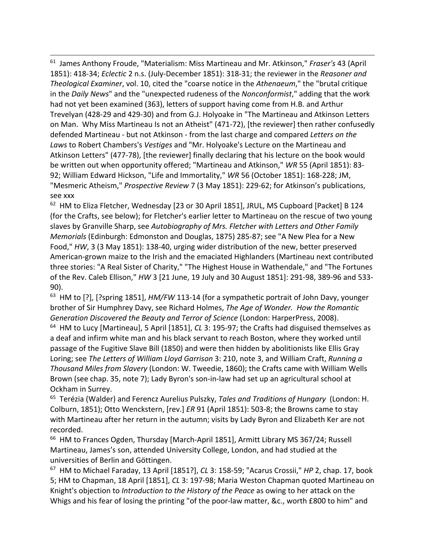61 James Anthony Froude, "Materialism: Miss Martineau and Mr. Atkinson," *Fraser's* 43 (April 1851): 418-34; *Eclectic* 2 n.s. (July-December 1851): 318-31; the reviewer in the *Reasoner and Theological Examiner*, vol. 10, cited the "coarse notice in the *Athenaeum*," the "brutal critique in the *Daily News*" and the "unexpected rudeness of the *Nonconformist*," adding that the work had not yet been examined (363), letters of support having come from H.B. and Arthur Trevelyan (428-29 and 429-30) and from G.J. Holyoake in "The Martineau and Atkinson Letters on Man. Why Miss Martineau Is not an Atheist" (471-72), [the reviewer] then rather confusedly defended Martineau - but not Atkinson - from the last charge and compared *Letters on the Laws* to Robert Chambers's *Vestiges* and "Mr. Holyoake's Lecture on the Martineau and Atkinson Letters" (477-78), [the reviewer] finally declaring that his lecture on the book would be written out when opportunity offered; "Martineau and Atkinson," *WR* 55 (April 1851): 83- 92; William Edward Hickson, "Life and Immortality," *WR* 56 (October 1851): 168-228; JM, "Mesmeric Atheism," *Prospective Review* 7 (3 May 1851): 229-62; for Atkinson's publications, see xxx

<sup>62</sup> HM to Eliza Fletcher, Wednesday [23 or 30 April 1851], JRUL, MS Cupboard [Packet] B 124 (for the Crafts, see below); for Fletcher's earlier letter to Martineau on the rescue of two young slaves by Granville Sharp, see *Autobiography of Mrs. Fletcher with Letters and Other Family Memorials* (Edinburgh: Edmonston and Douglas, 1875) 285-87; see "A New Plea for a New Food," *HW*, 3 (3 May 1851): 138-40, urging wider distribution of the new, better preserved American-grown maize to the Irish and the emaciated Highlanders (Martineau next contributed three stories: "A Real Sister of Charity," "The Highest House in Wathendale," and "The Fortunes of the Rev. Caleb Ellison," *HW* 3 [21 June, 19 July and 30 August 1851]: 291-98, 389-96 and 533- 90).

<sup>63</sup> HM to [?], [?spring 1851], *HM/FW* 113-14 (for a sympathetic portrait of John Davy, younger brother of Sir Humphrey Davy, see Richard Holmes, *The Age of Wonder. How the Romantic Generation Discovered the Beauty and Terror of Science* (London: HarperPress, 2008). 64 HM to Lucy [Martineau], 5 April [1851], *CL* 3: 195-97; the Crafts had disguised themselves as a deaf and infirm white man and his black servant to reach Boston, where they worked until passage of the Fugitive Slave Bill (1850) and were then hidden by abolitionists like Ellis Gray Loring; see *The Letters of William Lloyd Garrison* 3: 210, note 3, and William Craft, *Running a Thousand Miles from Slavery* (London: W. Tweedie, 1860); the Crafts came with William Wells Brown (see chap. 35, note 7); Lady Byron's son-in-law had set up an agricultural school at Ockham in Surrey.

65 Terézia (Walder) and Ferencz Aurelius Pulszky, *Tales and Traditions of Hungary* (London: H. Colburn, 1851); Otto Wenckstern, [rev.] *ER* 91 (April 1851): 503-8; the Browns came to stay with Martineau after her return in the autumn; visits by Lady Byron and Elizabeth Ker are not recorded.

<sup>66</sup> HM to Frances Ogden, Thursday [March-April 1851], Armitt Library MS 367/24; Russell Martineau, James's son, attended University College, London, and had studied at the universities of Berlin and Göttingen.

67 HM to Michael Faraday, 13 April [1851?], *CL* 3: 158-59; "Acarus Crossii," *HP* 2, chap. 17, book 5; HM to Chapman, 18 April [1851], *CL* 3: 197-98; Maria Weston Chapman quoted Martineau on Knight's objection to *Introduction to the History of the Peace* as owing to her attack on the Whigs and his fear of losing the printing "of the poor-law matter, &c., worth £800 to him" and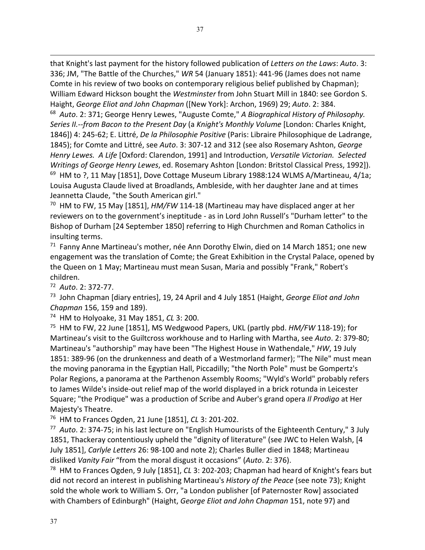that Knight's last payment for the history followed publication of *Letters on the Laws*: *Auto*. 3: 336; JM, "The Battle of the Churches," *WR* 54 (January 1851): 441-96 (James does not name Comte in his review of two books on contemporary religious belief published by Chapman); William Edward Hickson bought the *Westminster* from John Stuart Mill in 1840: see Gordon S. Haight, *George Eliot and John Chapman* ([New York]: Archon, 1969) 29; *Auto*. 2: 384.

68 *Auto*. 2: 371; George Henry Lewes, "Auguste Comte," *A Biographical History of Philosophy. Series II.--from Bacon to the Present Day* (a *Knight's Monthly Volume* [London: Charles Knight, 1846]) 4: 245-62; E. Littré, *De la Philosophie Positive* (Paris: Libraire Philosophique de Ladrange, 1845); for Comte and Littré, see *Auto*. 3: 307-12 and 312 (see also Rosemary Ashton, *George Henry Lewes. A Life* [Oxford: Clarendon, 1991] and Introduction, *Versatile Victorian. Selected Writings of George Henry Lewes*, ed. Rosemary Ashton [London: Britstol Classical Press, 1992]). <sup>69</sup> HM to ?, 11 May [1851], Dove Cottage Museum Library 1988:124 WLMS A/Martineau, 4/1a; Louisa Augusta Claude lived at Broadlands, Ambleside, with her daughter Jane and at times Jeannetta Claude, "the South American girl."

70 HM to FW, 15 May [1851], *HM/FW* 114-18 (Martineau may have displaced anger at her reviewers on to the government's ineptitude - as in Lord John Russell's "Durham letter" to the Bishop of Durham [24 September 1850] referring to High Churchmen and Roman Catholics in insulting terms.

<sup>71</sup> Fanny Anne Martineau's mother, née Ann Dorothy Elwin, died on 14 March 1851; one new engagement was the translation of Comte; the Great Exhibition in the Crystal Palace, opened by the Queen on 1 May; Martineau must mean Susan, Maria and possibly "Frank," Robert's children.

72 *Auto*. 2: 372-77.

73 John Chapman [diary entries], 19, 24 April and 4 July 1851 (Haight, *George Eliot and John Chapman* 156, 159 and 189). 74 HM to Holyoake, 31 May 1851, *CL* 3: 200.

75 HM to FW, 22 June [1851], MS Wedgwood Papers, UKL (partly pbd. *HM/FW* 118-19); for Martineau's visit to the Guiltcross workhouse and to Harling with Martha, see *Auto*. 2: 379-80; Martineau's "authorship" may have been "The Highest House in Wathendale," *HW*, 19 July 1851: 389-96 (on the drunkenness and death of a Westmorland farmer); "The Nile" must mean the moving panorama in the Egyptian Hall, Piccadilly; "the North Pole" must be Gompertz's Polar Regions, a panorama at the Parthenon Assembly Rooms; "Wyld's World" probably refers to James Wilde's inside-out relief map of the world displayed in a brick rotunda in Leicester Square; "the Prodique" was a production of Scribe and Auber's grand opera *Il Prodigo* at Her Majesty's Theatre.

76 HM to Frances Ogden, 21 June [1851], *CL* 3: 201-202.

77 *Auto*. 2: 374-75; in his last lecture on "English Humourists of the Eighteenth Century," 3 July 1851, Thackeray contentiously upheld the "dignity of literature" (see JWC to Helen Walsh, [4 July 1851], *Carlyle Letters* 26: 98-100 and note 2); Charles Buller died in 1848; Martineau disliked *Vanity Fair* "from the moral disgust it occasions" (*Auto*. 2: 376).

78 HM to Frances Ogden, 9 July [1851], *CL* 3: 202-203; Chapman had heard of Knight's fears but did not record an interest in publishing Martineau's *History of the Peace* (see note 73); Knight sold the whole work to William S. Orr, "a London publisher [of Paternoster Row] associated with Chambers of Edinburgh" (Haight, *George Eliot and John Chapman* 151, note 97) and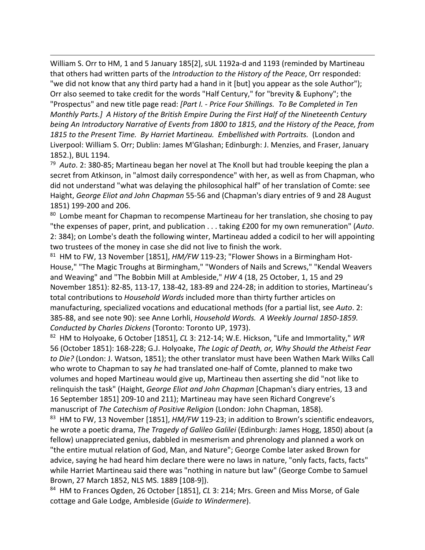William S. Orr to HM, 1 and 5 January 185[2], sUL 1192a-d and 1193 (reminded by Martineau that others had written parts of the *Introduction to the History of the Peace*, Orr responded: "we did not know that any third party had a hand in it [but] you appear as the sole Author");

Orr also seemed to take credit for the words "Half Century," for "brevity & Euphony"; the "Prospectus" and new title page read: *[Part I. - Price Four Shillings. To Be Completed in Ten Monthly Parts.] A History of the British Empire During the First Half of the Nineteenth Century being An Introductory Narrative of Events from 1800 to 1815, and the History of the Peace, from*  1815 to the Present Time. By Harriet Martineau. Embellished with Portraits. (London and Liverpool: William S. Orr; Dublin: James M'Glashan; Edinburgh: J. Menzies, and Fraser, January 1852.), BUL 1194.

79 *Auto*. 2: 380-85; Martineau began her novel at The Knoll but had trouble keeping the plan a secret from Atkinson, in "almost daily correspondence" with her, as well as from Chapman, who did not understand "what was delaying the philosophical half" of her translation of Comte: see Haight, *George Eliot and John Chapman* 55-56 and (Chapman's diary entries of 9 and 28 August 1851) 199-200 and 206.

<sup>80</sup> Lombe meant for Chapman to recompense Martineau for her translation, she chosing to pay "the expenses of paper, print, and publication . . . taking £200 for my own remuneration" (*Auto*. 2: 384); on Lombe's death the following winter, Martineau added a codicil to her will appointing two trustees of the money in case she did not live to finish the work.

81 HM to FW, 13 November [1851], *HM/FW* 119-23; "Flower Shows in a Birmingham Hot-House," "The Magic Troughs at Birmingham," "Wonders of Nails and Screws," "Kendal Weavers and Weaving" and "The Bobbin Mill at Ambleside," *HW* 4 (18, 25 October, 1, 15 and 29 November 1851): 82-85, 113-17, 138-42, 183-89 and 224-28; in addition to stories, Martineau's total contributions to *Household Words* included more than thirty further articles on manufacturing, specialized vocations and educational methods (for a partial list, see *Auto*. 2: 385-88, and see note 90): see Anne Lorhli, *Household Words. A Weekly Journal 1850-1859. Conducted by Charles Dickens* (Toronto: Toronto UP, 1973).

82 HM to Holyoake, 6 October [1851], *CL* 3: 212-14; W.E. Hickson, "Life and Immortality," *WR* 56 (October 1851): 168-228; G.J. Holyoake, *The Logic of Death, or, Why Should the Atheist Fear to Die?* (London: J. Watson, 1851); the other translator must have been Wathen Mark Wilks Call who wrote to Chapman to say *he* had translated one-half of Comte, planned to make two volumes and hoped Martineau would give up, Martineau then asserting she did "not like to relinquish the task" (Haight, *George Eliot and John Chapman* [Chapman's diary entries, 13 and 16 September 1851] 209-10 and 211); Martineau may have seen Richard Congreve's manuscript of *The Catechism of Positive Religion* (London: John Chapman, 1858).

<sup>83</sup> HM to FW, 13 November [1851], *HM/FW* 119-23; in addition to Brown's scientific endeavors, he wrote a poetic drama, *The Tragedy of Galileo Galilei* (Edinburgh: James Hogg, 1850) about (a fellow) unappreciated genius, dabbled in mesmerism and phrenology and planned a work on "the entire mutual relation of God, Man, and Nature"; George Combe later asked Brown for advice, saying he had heard him declare there were no laws in nature, "only facts, facts, facts" while Harriet Martineau said there was "nothing in nature but law" (George Combe to Samuel Brown, 27 March 1852, NLS MS. 1889 [108-9]).

84 HM to Frances Ogden, 26 October [1851], *CL* 3: 214; Mrs. Green and Miss Morse, of Gale cottage and Gale Lodge, Ambleside (*Guide to Windermere*).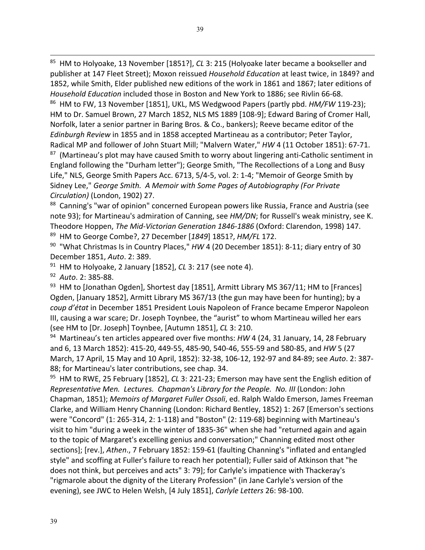85 HM to Holyoake, 13 November [1851?], *CL* 3: 215 (Holyoake later became a bookseller and publisher at 147 Fleet Street); Moxon reissued *Household Education* at least twice, in 1849? and 1852, while Smith, Elder published new editions of the work in 1861 and 1867; later editions of *Household Education* included those in Boston and New York to 1886; see Rivlin 66-68. 86 HM to FW, 13 November [1851], UKL, MS Wedgwood Papers (partly pbd. *HM/FW* 119-23); HM to Dr. Samuel Brown, 27 March 1852, NLS MS 1889 [108-9]; Edward Baring of Cromer Hall, Norfolk, later a senior partner in Baring Bros. & Co., bankers); Reeve became editor of the *Edinburgh Review* in 1855 and in 1858 accepted Martineau as a contributor; Peter Taylor, Radical MP and follower of John Stuart Mill; "Malvern Water," *HW* 4 (11 October 1851): 67-71. 87 (Martineau's plot may have caused Smith to worry about lingering anti-Catholic sentiment in England following the "Durham letter"); George Smith, "The Recollections of a Long and Busy Life," NLS, George Smith Papers Acc. 6713, 5/4-5, vol. 2: 1-4; "Memoir of George Smith by Sidney Lee," *George Smith. A Memoir with Some Pages of Autobiography (For Private Circulation)* (London, 1902) 27.

88 Canning's "war of opinion" concerned European powers like Russia, France and Austria (see note 93); for Martineau's admiration of Canning, see *HM/DN*; for Russell's weak ministry, see K. Theodore Hoppen, *The Mid-Victorian Generation 1846-1886* (Oxford: Clarendon, 1998) 147. 89 HM to George Combe?, 27 December [*1849*] 1851?, *HM/FL* 172.

90 "What Christmas Is in Country Places," *HW* 4 (20 December 1851): 8-11; diary entry of 30 December 1851, *Auto*. 2: 389.

91 HM to Holyoake, 2 January [1852], *CL* 3: 217 (see note 4).

92 *Auto*. 2: 385-88.

 $93$  HM to [Jonathan Ogden], Shortest day [1851], Armitt Library MS 367/11; HM to [Frances] Ogden, [January 1852], Armitt Library MS 367/13 (the gun may have been for hunting); by a *coup d'état* in December 1851 President Louis Napoleon of France became Emperor Napoleon III, causing a war scare; Dr. Joseph Toynbee, the "aurist" to whom Martineau willed her ears (see HM to [Dr. Joseph] Toynbee, [Autumn 1851], *CL* 3: 210.

94 Martineau's ten articles appeared over five months: *HW* 4 (24, 31 January, 14, 28 February and 6, 13 March 1852): 415-20, 449-55, 485-90, 540-46, 555-59 and 580-85, and *HW* 5 (27 March, 17 April, 15 May and 10 April, 1852): 32-38, 106-12, 192-97 and 84-89; see *Auto*. 2: 387- 88; for Martineau's later contributions, see chap. 34.

95 HM to RWE, 25 February [1852], *CL* 3: 221-23; Emerson may have sent the English edition of *Representative Men. Lectures. Chapman's Library for the People. No. III* (London: John Chapman, 1851); *Memoirs of Margaret Fuller Ossoli*, ed. Ralph Waldo Emerson, James Freeman Clarke, and William Henry Channing (London: Richard Bentley, 1852) 1: 267 [Emerson's sections were "Concord" (1: 265-314, 2: 1-118) and "Boston" (2: 119-68) beginning with Martineau's visit to him "during a week in the winter of 1835-36" when she had "returned again and again to the topic of Margaret's excelling genius and conversation;" Channing edited most other sections]; [rev.], *Athen*., 7 February 1852: 159-61 (faulting Channing's "inflated and entangled style" and scoffing at Fuller's failure to reach her potential); Fuller said of Atkinson that "he does not think, but perceives and acts" 3: 79]; for Carlyle's impatience with Thackeray's "rigmarole about the dignity of the Literary Profession" (in Jane Carlyle's version of the evening), see JWC to Helen Welsh, [4 July 1851], *Carlyle Letters* 26: 98-100.